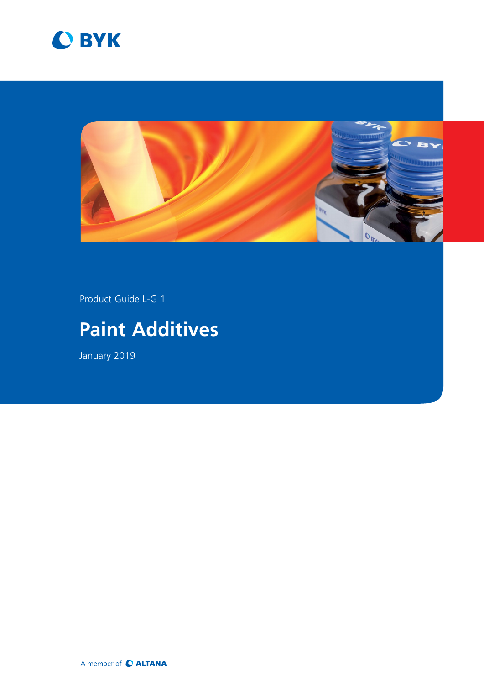



Product Guide L-G 1

# **Paint Additives**

January 2019

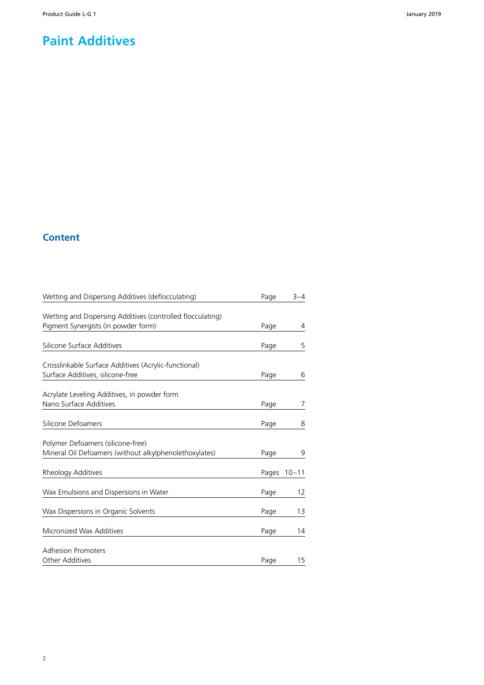### **Paint Additives**

### **Content**

| Wetting and Dispersing Additives (deflocculating)          | Page  | $3 - 4$   |
|------------------------------------------------------------|-------|-----------|
|                                                            |       |           |
| Wetting and Dispersing Additives (controlled flocculating) |       |           |
| Pigment Synergists (in powder form)                        | Page  | 4         |
| Silicone Surface Additives                                 | Page  | 5         |
| Crosslinkable Surface Additives (Acrylic-functional)       |       |           |
| Surface Additives, silicone-free                           | Page  | 6         |
| Acrylate Leveling Additives, in powder form                |       |           |
| Nano Surface Additives                                     | Page  | 7         |
| Silicone Defoamers                                         | Page  | 8         |
| Polymer Defoamers (silicone-free)                          |       |           |
| Mineral Oil Defoamers (without alkylphenolethoxylates)     | Page  | 9         |
| Rheology Additives                                         | Pages | $10 - 11$ |
| Wax Emulsions and Dispersions in Water                     | Page  | 12        |
| Wax Dispersions in Organic Solvents                        | Page  | 13        |
| Micronized Wax Additives                                   | Page  | 14        |
| <b>Adhesion Promoters</b>                                  |       |           |
| <b>Other Additives</b>                                     | Page  | 15        |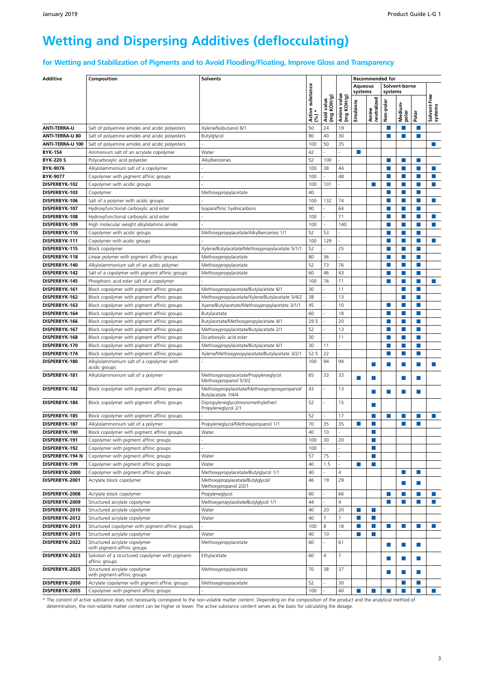## **Wetting and Dispersing Additives (deflocculating)**

**for Wetting and Stabilization of Pigments and to Avoid Flooding/Floating, Improve Gloss and Transparency**

| <b>Additive</b>       | Composition                                                                                       | <b>Solvents</b>                                                    |                           |                          |                           |                             | <b>Recommended for</b>      |            |                  |        |                             |
|-----------------------|---------------------------------------------------------------------------------------------------|--------------------------------------------------------------------|---------------------------|--------------------------|---------------------------|-----------------------------|-----------------------------|------------|------------------|--------|-----------------------------|
|                       |                                                                                                   |                                                                    |                           |                          |                           | <b>Aqueous</b>              |                             |            | Solvent-borne    |        |                             |
|                       |                                                                                                   |                                                                    | Active substance<br>(%) * |                          |                           | systems                     |                             | systems    |                  |        |                             |
|                       |                                                                                                   |                                                                    |                           |                          |                           |                             |                             |            |                  |        |                             |
|                       |                                                                                                   |                                                                    |                           | Acid value<br>(mg KOH/g) | Amine value<br>(mg KOH/g) | Emulsions                   | neutralized                 | Non-polar  | Medium-<br>polar |        | Solvent-free<br>systems     |
|                       |                                                                                                   |                                                                    |                           |                          |                           |                             | Amine                       |            |                  | Polar  |                             |
| <b>ANTI-TERRA-U</b>   | Salt of polyamine amides and acidic polyesters                                                    | Xylene/Isobutanol 8/1                                              | 50                        | 24                       | 19                        |                             |                             |            | m,               | ш      |                             |
| ANTI-TERRA-U 80       | Salt of polyamine amides and acidic polyesters                                                    | Butylglycol                                                        | 80                        | 40                       | 30                        |                             |                             | П          | П                | П      |                             |
| ANTI-TERRA-U 100      | Salt of polyamine amides and acidic polyesters                                                    |                                                                    | 100                       | 50                       | 35                        |                             |                             |            |                  |        | ×                           |
| <b>BYK-154</b>        | Ammonium salt of an acrylate copolymer                                                            | Water                                                              | 42                        |                          |                           | П                           |                             |            |                  |        |                             |
| <b>BYK-220 S</b>      | Polycarboxylic acid polyester                                                                     | Alkylbenzenes                                                      | 52                        | 100                      |                           |                             |                             | ш          | <b>COL</b>       | m.     |                             |
| BYK-9076              | Alkylolammonium salt of a copolymer                                                               |                                                                    | 100                       | 38                       | 44                        |                             |                             | m,         | п                | H.     | ×                           |
| <b>BYK-9077</b>       | Copolymer with pigment affinic groups                                                             |                                                                    | 100                       |                          | 48                        |                             |                             |            | п                | П      | $\mathcal{C}$               |
| DISPERBYK-102         |                                                                                                   |                                                                    | 100                       | 101                      |                           |                             | <b>College</b>              | ш          | m,               | H.     | <b>COL</b>                  |
|                       | Copolymer with acidic groups                                                                      |                                                                    |                           |                          |                           |                             |                             |            |                  |        |                             |
| DISPERBYK-103         | Copolymer                                                                                         | Methoxypropylacetate                                               | 40                        |                          |                           |                             |                             | П          | П                | П<br>П |                             |
| DISPERBYK-106         | Salt of a polymer with acidic groups                                                              |                                                                    | 100                       | 132                      | 74                        |                             |                             | П          | п                |        | ×                           |
| DISPERBYK-107         | Hydroxyfunctional carboxylic acid ester                                                           | Isoparaffinic hydrocarbons                                         | 90                        |                          | 64                        |                             |                             | ш          | M.               | П      |                             |
| DISPERBYK-108         | Hydroxyfunctional carboxylic acid ester                                                           |                                                                    | 100                       |                          | 71                        |                             |                             | п          | П                | П      | m.                          |
| DISPERBYK-109         | High molecular weight alkylolamino amide                                                          |                                                                    | 100                       |                          | 140                       |                             |                             | <b>COL</b> | п                | П      | P.                          |
| DISPERBYK-110         | Copolymer with acidic groups                                                                      | Methoxypropylacetate/Alkylbenzenes 1/1                             | 52                        | 53                       |                           |                             |                             |            | П                | П      |                             |
| DISPERBYK-111         | Copolymer with acidic groups                                                                      |                                                                    | 100                       | 129                      |                           |                             |                             | ш          | п                | П      | ×                           |
| DISPERBYK-115         | Block copolymer                                                                                   | Xylene/Butylacetate/Methoxypropylacetate 5/1/1                     | 52                        |                          | 25                        |                             |                             | <b>COL</b> | m,               | П      |                             |
| DISPERBYK-118         | Linear polymer with pigment affinic groups                                                        | Methoxypropylacetate                                               | 80                        | 36                       |                           |                             |                             |            | П                | П      |                             |
| DISPERBYK-140         | Alkylolammonium salt of an acidic polymer                                                         | Methoxypropylacetate                                               | 52                        | 73                       | 76                        |                             |                             | ш          | п                | П      |                             |
| DISPERBYK-142         | Salt of a copolymer with pigment affinic groups                                                   | Methoxypropylacetate                                               | 60                        | 46                       | 43                        |                             |                             | П          | П                | П      |                             |
| DISPERBYK-145         | Phosphoric acid ester salt of a copolymer                                                         |                                                                    | 100                       | 76                       | 71                        |                             |                             | <b>COL</b> | m,               | П      | ×                           |
| DISPERBYK-161         | Block copolymer with pigment affinic groups                                                       | Methoxypropylacetate/Butylacetate 6/1                              | 30                        |                          | 11                        |                             |                             |            | п                | п      |                             |
| DISPERBYK-162         | Block copolymer with pigment affinic groups                                                       | Methoxypropylacetate/Xylene/Butylacetate 5/4/2                     | 38                        |                          | 13                        |                             |                             |            | П                | П      |                             |
| DISPERBYK-163         | Block copolymer with pigment affinic groups                                                       | Xyene/Butylacetate/Methoxypropylacetate 3/1/1                      | 45                        |                          | 10                        |                             |                             | п          | п                | H.     |                             |
| DISPERBYK-164         | Block copolymer with pigment affinic groups                                                       | Butylacetate                                                       | 60                        |                          | 18                        |                             |                             | ш          | п                | П      |                             |
| DISPERBYK-166         | Block copolymer with pigment affinic groups                                                       | Butylacetate/Methoxypropylacetate 4/1                              | 29.5                      |                          | 20                        |                             |                             | ш          | M.               | П      |                             |
| DISPERBYK-167         | Block copolymer with pigment affinic groups                                                       | Methoxypropylacetate/Butylacetate 2/1                              | 52                        |                          | 13                        |                             |                             | m,         | п                | П      |                             |
| DISPERBYK-168         | Block copolymer with pigment affinic groups                                                       | Dicarboxylic acid ester                                            | 30                        |                          | 11                        |                             |                             |            | П                | П      |                             |
| DISPERBYK-170         | Block copolymer with pigment affinic groups                                                       | Methoxypropylacetate/Butylacetate 6/1                              | 30                        | 11                       |                           |                             |                             | п          | п                | H.     |                             |
| DISPERBYK-174         | Block copolymer with pigment affinic groups                                                       | Xylene/Methoxypropylacetate/Butylacetate 3/2/1                     | 52.5                      | 22                       |                           |                             |                             | п          | П                | П      |                             |
| DISPERBYK-180         | Alkylolammonium salt of a copolymer with                                                          |                                                                    | 100                       | 94                       | 94                        |                             |                             |            |                  |        |                             |
|                       | acidic groups                                                                                     |                                                                    |                           |                          |                           |                             | ▅                           |            | п                | $\Box$ | P.                          |
| DISPERBYK-181         | Alkylolammonium salt of a polymer                                                                 | Methoxypropylacetate/Propyleneglycol<br>Methoxypropanol 5/3/2      | 65                        | 33                       | 33                        | П                           | П                           |            | п                | П      |                             |
| DISPERBYK-182         | Block copolymer with pigment affinic groups                                                       | Methoxypropylacetate/Methoxypropoxypropanol/<br>Butylacetate 7/4/4 | 43                        |                          | 13                        |                             | ш                           | ш          |                  | П      |                             |
| DISPERBYK-184         | Block copolymer with pigment affinic groups                                                       | Dipropyleneglycolmonomethylether/<br>Propyleneglycol 2/1           | 52                        |                          | 15                        |                             | п                           |            |                  |        |                             |
| DISPERBYK-185         | Block copolymer with pigment affinic groups                                                       |                                                                    | 52                        |                          | 17                        |                             | P.                          | ш          | п                | H.     | ш                           |
| DISPERBYK-187         | Alkylolammonium salt of a polymer                                                                 | Propyleneglycol/Methoxypropanol 1/1                                | 70                        | 35                       | 35                        | П                           | m.                          |            | П                | П      |                             |
| DISPERBYK-190         | Block copolymer with pigment affinic groups                                                       | Water                                                              | 40                        | 10                       |                           |                             | ш                           |            |                  |        |                             |
| DISPERBYK-191         | Copolymer with pigment affinic groups                                                             |                                                                    | 100                       | 30                       | 20                        |                             |                             |            |                  |        |                             |
| DISPERBYK-192         | Copolymer with pigment affinic groups                                                             |                                                                    | 100                       |                          |                           |                             | F.                          |            |                  |        |                             |
| DISPERBYK-194 N       | Copolymer with pigment affinic groups                                                             | Water                                                              | 57                        | 75                       |                           |                             | П                           |            |                  |        |                             |
| DISPERBYK-199         | Copolymer with pigment affinic groups                                                             | Water                                                              | 40                        | 1.5                      |                           |                             | П                           |            |                  |        |                             |
| <b>DISPERBYK-2000</b> | Copolymer with pigment affinic groups                                                             | Methoxypropylacetate/Butylglycol 1/1                               | 40                        |                          | $\overline{4}$            |                             |                             |            | <b>In</b>        | П      |                             |
| DISPERBYK-2001        | Acrylate block copolymer                                                                          | Methoxypropylacetate/Butylglycol/<br>Methoxypropanol 2/2/1         | 46                        | 19                       | 29                        |                             |                             |            |                  | L.     |                             |
| DISPERBYK-2008        | Acrylate block copolymer                                                                          | Propyleneglycol                                                    | 60                        |                          | 66                        |                             |                             | п          | п                | П      | <b>In</b>                   |
| DISPERBYK-2009        | Structured acrylate copolymer                                                                     | Methoxypropylacetate/Butylglycol 1/1                               | 44                        |                          | $\overline{4}$            |                             |                             | П          | M.               | П      | $\mathcal{L}_{\mathcal{A}}$ |
| DISPERBYK-2010        | Structured acrylate copolymer                                                                     | Water                                                              | 40                        | 20                       | 20                        | П                           | $\mathcal{L}_{\mathcal{A}}$ |            |                  |        |                             |
| DISPERBYK-2012        | Structured acrylate copolymer                                                                     | Water                                                              | 40                        | $\overline{7}$           | $\overline{7}$            | P.                          | P.                          |            |                  |        |                             |
| DISPERBYK-2013        | Structured copolymer with pigment-affinic groups                                                  |                                                                    | 100                       | 8                        | 18                        | $\mathcal{C}^{\mathcal{A}}$ | $\Box$                      | m.         | m,               | П      | <b>College</b>              |
| DISPERBYK-2015        | Structured acrylate copolymer                                                                     | Water                                                              | 40                        | 10                       |                           | П                           | П                           |            |                  |        |                             |
| DISPERBYK-2022        | Structured acrylate copolymer                                                                     | Methoxypropylacetate                                               | 60                        |                          | 61                        |                             |                             | п          | п                | M.     |                             |
| DISPERBYK-2023        | with pigment-affinic groups<br>Solution of a structured copolymer with pigment-<br>affinic groups | Ethylacetate                                                       | 60                        | $\overline{4}$           | $\overline{7}$            |                             |                             | п          | п                | M.     |                             |
| DISPERBYK-2025        | Structured acrylate copolymer                                                                     | Methoxypropylacetate                                               | 70                        | 38                       | 37                        |                             |                             | ш          | ш                | П      |                             |
|                       | with pigment-affinic groups                                                                       |                                                                    |                           |                          |                           |                             |                             |            |                  |        |                             |
| DISPERBYK-2050        | Acrylate copolymer with pigment affinic groups                                                    | Methoxypropylacetate                                               | 52                        |                          | 30                        |                             |                             |            | п                | П      |                             |
| DISPERBYK-2055        | Copolymer with pigment affinic groups                                                             |                                                                    | 100                       |                          | 40                        | п                           | ▅                           |            | ■                | H      | ×                           |

\* The content of active substance does not necessarily correspond to the non-volatile matter content. Depending on the composition of the product and the analytical method of determination, the non-volatile matter content can be higher or lower. The active substance content serves as the basis for calculating the dosage.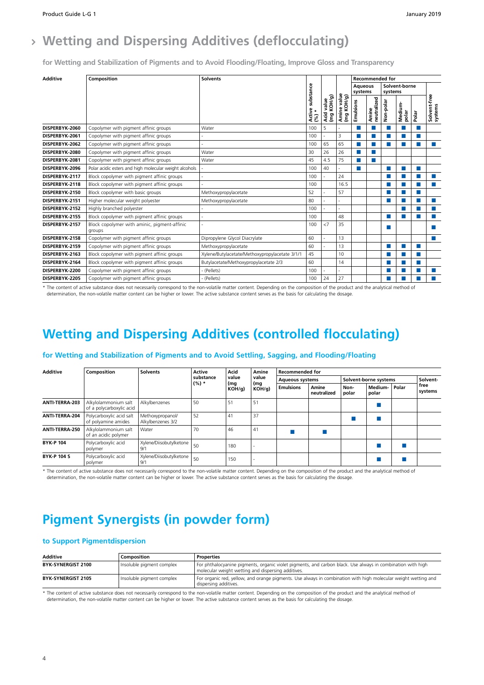### **Wetting and Dispersing Additives (deflocculating)**

**for Wetting and Stabilization of Pigments and to Avoid Flooding/Floating, Improve Gloss and Transparency**

| <b>Additive</b> | Composition                                            | <b>Solvents</b>                                |                           |                              |                                    |                           |                      | <b>Recommended for</b> |                  |                          |                         |
|-----------------|--------------------------------------------------------|------------------------------------------------|---------------------------|------------------------------|------------------------------------|---------------------------|----------------------|------------------------|------------------|--------------------------|-------------------------|
|                 |                                                        |                                                |                           |                              |                                    | <b>Aqueous</b><br>systems |                      | systems                | Solvent-borne    |                          |                         |
|                 |                                                        |                                                | Active substance<br>$(*)$ | KOH/g)<br>value<br>Acid<br>ξ | е value<br>ФІНО<br>Amine<br>⊻<br>g | Emulsions                 | neutralized<br>Amine | Non-polar              | Medium-<br>polar | Polar                    | Solvent-free<br>systems |
| DISPERBYK-2060  | Copolymer with pigment affinic groups                  | Water                                          | 100                       | 5                            |                                    |                           | F.                   |                        |                  |                          |                         |
| DISPERBYK-2061  | Copolymer with pigment affinic groups                  |                                                | 100                       |                              | 3                                  | <b>College</b>            | $\sim$               |                        |                  |                          |                         |
| DISPERBYK-2062  | Copolymer with pigment affinic groups                  |                                                | 100                       | 65                           | 65                                 | m.                        | п                    |                        |                  | ш                        |                         |
| DISPERBYK-2080  | Copolymer with pigment affinic groups                  | Water                                          | 30                        | 26                           | 26                                 | ш                         | <b>CONTRACT</b>      |                        |                  |                          |                         |
| DISPERBYK-2081  | Copolymer with pigment affinic groups                  | Water                                          | 45                        | 4.5                          | 75                                 | П                         | m.                   |                        |                  |                          |                         |
| DISPERBYK-2096  | Polar acidic esters and high molecular weight alcohols |                                                | 100                       | 40                           |                                    | П                         |                      | ш                      |                  |                          |                         |
| DISPERBYK-2117  | Block copolymer with pigment affinic groups            |                                                | 100                       |                              | 24                                 |                           |                      |                        |                  |                          |                         |
| DISPERBYK-2118  | Block copolymer with pigment affinic groups            |                                                | 100                       |                              | 16.5                               |                           |                      |                        |                  |                          |                         |
| DISPERBYK-2150  | Block copolymer with basic groups                      | Methoxypropylacetate                           | 52                        |                              | 57                                 |                           |                      |                        |                  | <b>Contract Contract</b> |                         |
| DISPERBYK-2151  | Higher molecular weight polyester                      | Methoxypropylacetate                           | 80                        |                              |                                    |                           |                      |                        |                  |                          | $\sim$                  |
| DISPERBYK-2152  | Highly branched polyester                              |                                                | 100                       |                              |                                    |                           |                      |                        |                  | a a s                    |                         |
| DISPERBYK-2155  | Block copolymer with pigment affinic groups            |                                                | 100                       |                              | 48                                 |                           |                      |                        |                  |                          |                         |
| DISPERBYK-2157  | Block copolymer with aminic, pigment-affinic<br>groups |                                                | 100                       | <7                           | 35                                 |                           |                      | ш                      |                  |                          |                         |
| DISPERBYK-2158  | Copolymer with pigment affinic groups                  | Dipropylene Glycol Diacrylate                  | 60                        |                              | 13                                 |                           |                      |                        |                  |                          |                         |
| DISPERBYK-2159  | Copolymer with pigment affinic groups                  | Methoxypropylacetate                           | 60                        |                              | 13                                 |                           |                      |                        |                  |                          |                         |
| DISPERBYK-2163  | Block copolymer with pigment affinic groups            | Xylene/Butylacetate/Methoxypropylacetate 3/1/1 | 45                        |                              | 10                                 |                           |                      |                        |                  |                          |                         |
| DISPERBYK-2164  | Block copolymer with pigment affinic groups            | Butylacetate/Methoxypropylacetate 2/3          | 60                        |                              | 14                                 |                           |                      |                        |                  |                          |                         |
| DISPERBYK-2200  | Copolymer with pigment affinic groups                  | - (Pellets)                                    | 100                       |                              |                                    |                           |                      |                        |                  |                          |                         |
| DISPERBYK-2205  | Copolymer with pigment affinic groups                  | - (Pellets)                                    | 100                       | 24                           | 27                                 |                           |                      |                        |                  |                          |                         |

\* The content of active substance does not necessarily correspond to the non-volatile matter content. Depending on the composition of the product and the analytical method of determination, the non-volatile matter content can be higher or lower. The active substance content serves as the basis for calculating the dosage.

### **Wetting and Dispersing Additives (controlled flocculating)**

| <b>Additive</b>    | Composition                                      | <b>Solvents</b>                       | Active    | Acid         | Amine        | <b>Recommended for</b> |                      |               |                       |       |                 |
|--------------------|--------------------------------------------------|---------------------------------------|-----------|--------------|--------------|------------------------|----------------------|---------------|-----------------------|-------|-----------------|
|                    |                                                  |                                       | substance | value        | value        | <b>Aqueous systems</b> |                      |               | Solvent-borne systems |       | Solvent-        |
|                    |                                                  |                                       | $(%) *$   | (mg<br>KOH/q | (mg<br>KOH/q | <b>Emulsions</b>       | Amine<br>neutralized | Non-<br>polar | Medium-<br>polar      | Polar | free<br>systems |
| ANTI-TERRA-203     | Alkylolammonium salt<br>of a polycarboxylic acid | Alkylbenzenes                         | 50        | 51           | 51           |                        |                      |               |                       |       |                 |
| ANTI-TERRA-204     | Polycarboxylic acid salt<br>of polyamine amides  | Methoxypropanol/<br>Alkylbenzenes 3/2 | 52        | 41           | 37           |                        |                      |               |                       |       |                 |
| ANTI-TERRA-250     | Alkylolammonium salt<br>of an acidic polymer     | Water                                 | 70        | 46           | 41           |                        |                      |               |                       |       |                 |
| <b>BYK-P104</b>    | Polycarboxylic acid<br>polymer                   | Xylene/Diisobutylketone<br>9'         | 50        | 180          |              |                        |                      |               |                       |       |                 |
| <b>BYK-P 104 S</b> | Polycarboxylic acid<br>polymer                   | Xylene/Diisobutylketone<br>9/1        | 50        | 150          |              |                        |                      |               |                       |       |                 |

#### **for Wetting and Stabilization of Pigments and to Avoid Settling, Sagging, and Flooding/Floating**

\* The content of active substance does not necessarily correspond to the non-volatile matter content. Depending on the composition of the product and the analytical method of determination, the non-volatile matter content can be higher or lower. The active substance content serves as the basis for calculating the dosage.

### **Pigment Synergists (in powder form)**

#### **to Support Pigmentdispersion**

| Additive                  | Composition                 | Properties                                                                                                                                                        |
|---------------------------|-----------------------------|-------------------------------------------------------------------------------------------------------------------------------------------------------------------|
| <b>BYK-SYNERGIST 2100</b> | Insoluble pigment complex   | For phthalocyanine pigments, organic violet pigments, and carbon black. Use always in combination with high<br>molecular weight wetting and dispersing additives. |
| BYK-SYNERGIST 2105        | l Insoluble piament complex | For organic red, yellow, and orange pigments. Use always in combination with high molecular weight wetting and<br>dispersing additives.                           |

\* The content of active substance does not necessarily correspond to the non-volatile matter content. Depending on the composition of the product and the analytical method of determination, the non-volatile matter content can be higher or lower. The active substance content serves as the basis for calculating the dosage.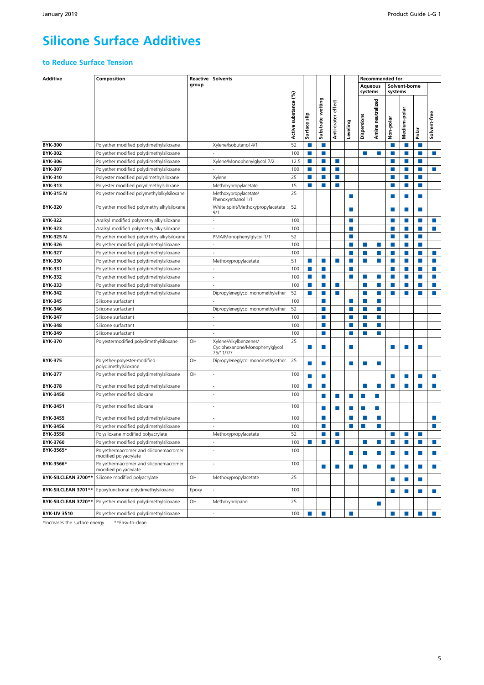## **Silicone Surface Additives**

#### **to Reduce Surface Tension**

| <b>Additive</b>                            | Composition                                                                        | Reactive | Solvents                                                             |                      |                  |                   |                       |          |                           | <b>Recommended for</b>      |               |               |                  |                             |
|--------------------------------------------|------------------------------------------------------------------------------------|----------|----------------------------------------------------------------------|----------------------|------------------|-------------------|-----------------------|----------|---------------------------|-----------------------------|---------------|---------------|------------------|-----------------------------|
|                                            |                                                                                    | group    |                                                                      |                      |                  |                   |                       |          | <b>Aqueous</b><br>systems |                             | systems       | Solvent-borne |                  |                             |
|                                            |                                                                                    |          |                                                                      | Active substance (%) | Surface slip     | Substrate wetting | effect<br>Anti-crater | Leveling | Dispersions               | Amine neutralized           | Non-polar     | Medium-polar  | Polar            | Solvent-free                |
| <b>BYK-300</b>                             | Polyether modified polydimethylsiloxane                                            |          | Xylene/Isobutanol 4/1                                                | 52                   | П                | П                 |                       |          |                           |                             | П             | П             | п                |                             |
| BYK-302                                    | Polyether modified polydimethylsiloxane                                            |          |                                                                      | 100                  | W.               | П                 |                       |          | П                         | П                           | П             | П             | $\sim$           | P.                          |
| <b>BYK-306</b>                             | Polyether modified polydimethylsiloxane                                            |          | Xylene/Monophenylglycol 7/2                                          | 12.5                 | U.               | ×                 | п                     |          |                           |                             |               | П             |                  |                             |
| <b>BYK-307</b>                             | Polyether modified polydimethylsiloxane                                            |          |                                                                      | 100                  | W.               | ■                 | P.                    |          |                           |                             |               | П             | <b>College</b>   | П                           |
| <b>BYK-310</b>                             | Polyester modified polydimethylsiloxane                                            |          | Xylene                                                               | 25                   | $\Box$           | П                 | П                     |          |                           |                             |               | П             | <b>The State</b> |                             |
| <b>BYK-313</b>                             | Polyester modified polydimethylsiloxane                                            |          | Methoxypropylacetate                                                 | 15                   | P.               |                   | ш                     |          |                           |                             |               | П             | P.               |                             |
| <b>BYK-315N</b>                            | Polyester modified polymethylalkylsiloxane                                         |          | Methoxypropylacetate/<br>Phenoxyethanol 1/1                          | 25                   |                  |                   |                       | ▅        |                           |                             |               | П             | ш                |                             |
| <b>BYK-320</b>                             | Polyether modified polymethylalkylsiloxane                                         |          | White spirit/Methoxypropylacetate<br>9/1                             | 52                   |                  |                   |                       | п        |                           |                             |               | П             | m.               |                             |
| <b>BYK-322</b>                             | Aralkyl modified polymethylalkylsiloxane                                           |          | $\overline{a}$                                                       | 100                  |                  |                   |                       | ш        |                           |                             | П             | П             | <b>The State</b> | P.                          |
| <b>BYK-323</b>                             | Aralkyl modified polymethylalkylsiloxane                                           |          |                                                                      | 100                  |                  |                   |                       |          |                           |                             |               | П             | <b>College</b>   | P.                          |
| <b>BYK-325N</b>                            | Polyether modified polymethylalkylsiloxane                                         |          | PMA/Monophenylglycol 1/1                                             | 52                   |                  |                   |                       | ▅        |                           |                             | п             | ш             | $\sim$           |                             |
| <b>BYK-326</b>                             | Polyether modified polydimethylsiloxane                                            |          |                                                                      | 100                  |                  |                   |                       | ٠        | П                         | п                           | H.            | П             | П                |                             |
| <b>BYK-327</b>                             | Polyether modified polydimethylsiloxane                                            |          |                                                                      | 100                  |                  |                   |                       |          | П                         | $\Box$                      |               | П             | <b>College</b>   | $\mathcal{C}^{\mathcal{A}}$ |
| <b>BYK-330</b>                             | Polyether modified polydimethylsiloxane                                            |          | Methoxypropylacetate                                                 | 51                   | W.               | П                 | ш                     | П        | П                         | P.                          | П             | П             | $\sim$           | P.                          |
| <b>BYK-331</b>                             | Polyether modified polydimethylsiloxane                                            |          |                                                                      | 100                  | L.               | m,                |                       |          |                           |                             |               | П             |                  | ш                           |
| <b>BYK-332</b>                             | Polyether modified polydimethylsiloxane                                            |          |                                                                      | 100                  | <b>The State</b> | П                 |                       | ▉        | П                         | P.                          | П             | П             | <b>The State</b> | $\mathcal{C}^{\mathcal{A}}$ |
| <b>BYK-333</b>                             | Polyether modified polydimethylsiloxane                                            |          |                                                                      | 100                  | W.               | ×                 | $\sim$                |          | П                         | P.                          | П             | П             | P.               | $\mathcal{C}^{\mathcal{A}}$ |
| <b>BYK-342</b>                             | Polyether modified polydimethylsiloxane                                            |          | Dipropyleneglycol monomethylether                                    | 52                   | P.               |                   | P.                    |          | п                         | $\mathcal{C}^{\mathcal{A}}$ |               |               |                  | r.                          |
| <b>BYK-345</b>                             | Silicone surfactant                                                                |          |                                                                      | 100                  |                  | ■                 |                       | П        | П                         | P.                          |               |               |                  |                             |
| <b>BYK-346</b>                             | Silicone surfactant                                                                |          | Dipropyleneglycol monomethylether                                    | 52                   |                  | П                 |                       |          | П                         | $\mathcal{C}^{\mathcal{A}}$ |               |               |                  |                             |
| <b>BYK-347</b>                             | Silicone surfactant                                                                |          |                                                                      | 100                  |                  | r.                |                       |          | П                         | P.                          |               |               |                  |                             |
| <b>BYK-348</b>                             | Silicone surfactant                                                                |          |                                                                      | 100                  |                  | П                 |                       | ٠        | П                         | F.                          |               |               |                  |                             |
| <b>BYK-349</b>                             | Silicone surfactant                                                                |          |                                                                      | 100                  |                  | П                 |                       |          | П                         | P.                          |               |               |                  |                             |
| <b>BYK-370</b>                             | Polyestermodified polydimethylsiloxane                                             | OН       | Xylene/Alkylbenzenes/<br>Cyclohexanone/Monophenylglycol<br>75/11/7/7 | 25                   | H.               |                   |                       | п        |                           |                             |               |               |                  |                             |
| <b>BYK-375</b>                             | Polyether-polyester-modified<br>polydimethylsiloxane                               | OH       | Dipropyleneglycol monomethylether                                    | 25                   |                  |                   |                       | п        | П                         | П                           |               |               |                  |                             |
| <b>BYK-377</b>                             | Polyether modified polydimethylsiloxane                                            | OH       |                                                                      | 100                  | ▅                | П                 |                       |          |                           |                             |               | П             |                  | P.                          |
| <b>BYK-378</b>                             | Polyether modified polydimethylsiloxane                                            |          |                                                                      | 100                  | ш                | H.                |                       |          | ш                         | п                           | n.            | m.            | n.               | F.                          |
| BYK-3450                                   | Polyether modified siloxane<br>Polyether modified siloxane                         |          |                                                                      | 100<br>100           |                  |                   | ш                     | ▅        | n.                        | П                           |               |               |                  |                             |
| BYK-3451                                   |                                                                                    |          |                                                                      |                      |                  |                   | ш                     | ٠<br>٠   | П<br>П                    | n.<br>P.                    |               |               |                  | п                           |
| BYK-3455<br>BYK-3456                       | Polyether modified polydimethylsiloxane<br>Polyether modified polydimethylsiloxane |          |                                                                      | 100<br>100           |                  | П<br>П            |                       |          | П                         | П                           |               |               |                  | П                           |
| BYK-3550                                   | Polysiloxane modified polyacrylate                                                 |          | Methoxypropylacetate                                                 | 52                   |                  | r.                | P.                    |          |                           |                             | ×             | П             |                  |                             |
| BYK-3760                                   | Polyether modified polydimethylsiloxane                                            |          |                                                                      | 100                  |                  | ш                 | ш                     |          | П                         | ш                           | ш             | ш             |                  | n.                          |
| BYK-3565*                                  | Polyethermacromer and siliconemacromer                                             |          |                                                                      | 100                  |                  |                   |                       |          |                           |                             |               |               |                  |                             |
| BYK-3566*                                  | modified polyacrylate<br>Polyethermacromer and siliconemacromer                    |          |                                                                      | 100                  |                  |                   |                       | П        | P.                        | P.                          | <b>COL</b>    | m.            | ш                | $\mathcal{C}^{\mathcal{A}}$ |
|                                            | modified polyacrylate                                                              | OH       |                                                                      | 25                   |                  | П                 | ш                     | П        | П                         | $\mathcal{L}_{\mathcal{A}}$ | <b>Talent</b> | $\Box$        | ш                | $\mathbb{R}^n$              |
| BYK-SILCLEAN 3700**<br>BYK-SILCLEAN 3701** | Silicone modified polyacrylate<br>Epoxyfunctional polydimethylsiloxane             | Epoxy    | Methoxypropylacetate                                                 | 100                  |                  |                   |                       |          |                           |                             | ш             | $\Box$        | ш                |                             |
| BYK-SILCLEAN 3720**                        | Polyether modified polydimethylsiloxane                                            | OH       | Methoxypropanol                                                      | 25                   |                  |                   |                       |          |                           | P.                          | п             | m.            | $\Box$           | ×                           |
|                                            |                                                                                    |          |                                                                      |                      |                  |                   |                       |          |                           |                             |               |               |                  |                             |
| <b>BYK-UV 3510</b>                         | Polyether modified polydimethylsiloxane                                            |          | ä,                                                                   | 100                  | P.               | П                 |                       | H        |                           |                             | П             | ×             | W.               | $\mathcal{L}_{\mathcal{A}}$ |

\*Increases the surface energy \*\*Easy-to-clean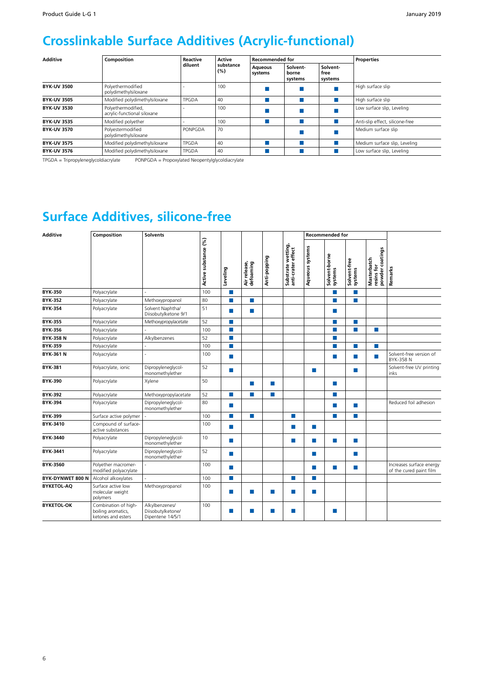## **Crosslinkable Surface Additives (Acrylic-functional)**

| <b>Additive</b>    | Composition                                       | Reactive     | Active           | <b>Recommended for</b> |                              |                             | <b>Properties</b>               |
|--------------------|---------------------------------------------------|--------------|------------------|------------------------|------------------------------|-----------------------------|---------------------------------|
|                    |                                                   | diluent      | substance<br>(%) |                        | Solvent-<br>borne<br>systems | Solvent-<br>free<br>systems |                                 |
| <b>BYK-UV 3500</b> | Polyethermodified<br>polydimethylsiloxane         |              | 100              |                        |                              |                             | High surface slip               |
| <b>BYK-UV 3505</b> | Modified polydimethylsiloxane                     | <b>TPGDA</b> | 40               |                        |                              |                             | High surface slip               |
| <b>BYK-UV 3530</b> | Polyethermodified,<br>acrylic-functional siloxane |              | 100              |                        |                              |                             | Low surface slip, Leveling      |
| <b>BYK-UV 3535</b> | Modified polyether                                |              | 100              |                        |                              |                             | Anti-slip effect, silicone-free |
| <b>BYK-UV 3570</b> | Polyestermodified<br>polydimethylsiloxane         | PONPGDA      | 70               |                        |                              |                             | Medium surface slip             |
| <b>BYK-UV 3575</b> | Modified polydimethylsiloxane                     | <b>TPGDA</b> | 40               |                        |                              |                             | Medium surface slip, Leveling   |
| <b>BYK-UV 3576</b> | Modified polydimethylsiloxane                     | <b>TPGDA</b> | 40               |                        |                              |                             | Low surface slip, Leveling      |

TPGDA = Tripropyleneglycoldiacrylate PONPGDA = Propoxylated Neopentylglycoldiacrylate

### **Surface Additives, silicone-free**

| <b>Additive</b>   | Composition                                                      | <b>Solvents</b>                                         |                      |            |                           |              |                                          |                 | <b>Recommended for</b>   |                         |                                                     |                                                     |
|-------------------|------------------------------------------------------------------|---------------------------------------------------------|----------------------|------------|---------------------------|--------------|------------------------------------------|-----------------|--------------------------|-------------------------|-----------------------------------------------------|-----------------------------------------------------|
|                   |                                                                  |                                                         | Active substance (%) | Leveling   | Air release,<br>defoaming | Anti-popping | Substrate wetting,<br>anti-crater effect | Aqueous systems | Solvent-borne<br>systems | Solvent-free<br>systems | powder coatings<br><b>Masterbatch</b><br>resins for | <b>Remarks</b>                                      |
| <b>BYK-350</b>    | Polyacrylate                                                     |                                                         | 100                  | П          |                           |              |                                          |                 | ш                        | П                       |                                                     |                                                     |
| <b>BYK-352</b>    | Polyacrylate                                                     | Methoxypropanol                                         | 80                   | п          | <b>COL</b>                |              |                                          |                 | <b>COL</b>               | H.                      |                                                     |                                                     |
| <b>BYK-354</b>    | Polyacrylate                                                     | Solvent Naphtha/<br>Diisobutylketone 9/1                | 51                   | m.         | <b>College</b>            |              |                                          |                 | <b>The State</b>         |                         |                                                     |                                                     |
| <b>BYK-355</b>    | Polyacrylate                                                     | Methoxypropylacetate                                    | 52                   | п          |                           |              |                                          |                 | <b>In</b>                | <b>In</b>               |                                                     |                                                     |
| <b>BYK-356</b>    | Polyacrylate                                                     |                                                         | 100                  | m.         |                           |              |                                          |                 | <b>COL</b>               | ×                       | H.                                                  |                                                     |
| <b>BYK-358 N</b>  | Polyacrylate                                                     | Alkylbenzenes                                           | 52                   | ×          |                           |              |                                          |                 | <b>College</b>           |                         |                                                     |                                                     |
| <b>BYK-359</b>    | Polyacrylate                                                     | $\overline{a}$                                          | 100                  | <b>COL</b> |                           |              |                                          |                 | <b>COL</b>               | ш                       | <b>College</b>                                      |                                                     |
| <b>BYK-361 N</b>  | Polyacrylate                                                     | $\overline{a}$                                          | 100                  | m.         |                           |              |                                          |                 | T.                       | ш                       | m.                                                  | Solvent-free version of<br>BYK-358 N                |
| <b>BYK-381</b>    | Polyacrylate, ionic                                              | Dipropyleneglycol-<br>monomethylether                   | 52                   | п          |                           |              |                                          | П               |                          | m.                      |                                                     | Solvent-free UV printing<br>inks                    |
| <b>BYK-390</b>    | Polyacrylate                                                     | Xylene                                                  | 50                   |            | <b>The State</b>          | п            |                                          |                 | <b>The State</b>         |                         |                                                     |                                                     |
| <b>BYK-392</b>    | Polyacrylate                                                     | Methoxypropylacetate                                    | 52                   | п          | <b>COL</b>                | п            |                                          |                 | <b>The State</b>         |                         |                                                     |                                                     |
| <b>BYK-394</b>    | Polyacrylate                                                     | Dipropyleneglycol-<br>monomethylether                   | 80                   | ш          |                           |              |                                          |                 | <b>COL</b>               | <b>In</b>               |                                                     | Reduced foil adhesion                               |
| <b>BYK-399</b>    | Surface active polymer                                           |                                                         | 100                  | ×          | п                         |              | ×                                        |                 | <b>COL</b>               | П                       |                                                     |                                                     |
| BYK-3410          | Compound of surface-<br>active substances                        |                                                         | 100                  | п          |                           |              | m.                                       | H               |                          |                         |                                                     |                                                     |
| BYK-3440          | Polyacrylate                                                     | Dipropyleneglycol-<br>monomethylether                   | 10                   | п          |                           |              | m.                                       | ×               | <b>COL</b>               | П                       |                                                     |                                                     |
| BYK-3441          | Polyacrylate                                                     | Dipropyleneglycol-<br>monomethylether                   | 52                   | п          |                           |              |                                          | <b>In</b>       |                          | <b>In</b>               |                                                     |                                                     |
| BYK-3560          | Polyether macromer-<br>modified polyacrylate                     |                                                         | 100                  | п          |                           |              |                                          | H.              | <b>COL</b>               | <b>In</b>               |                                                     | Increases surface energy<br>of the cured paint film |
| BYK-DYNWET 800 N  | Alcohol alkoxylates                                              |                                                         | 100                  | ×          |                           |              | <b>The State</b>                         | ш               |                          |                         |                                                     |                                                     |
| <b>BYKETOL-AQ</b> | Surface active low<br>molecular weight<br>polymers               | Methoxypropanol                                         | 100                  | п          | ш                         | ▅            | ш                                        | ш               |                          |                         |                                                     |                                                     |
| <b>BYKETOL-OK</b> | Combination of high-<br>boiling aromatics,<br>ketones and esters | Alkylbenzenes/<br>Diisobutylketone/<br>Dipentene 14/5/1 | 100                  | п          | ш                         |              | ш                                        |                 | ш                        |                         |                                                     |                                                     |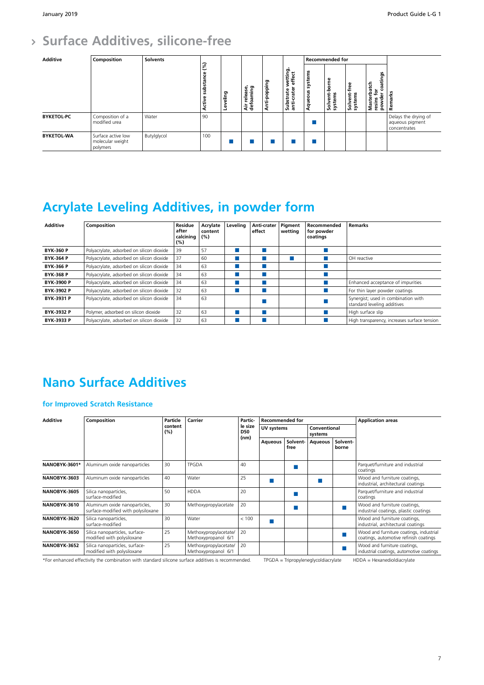## **Surface Additives, silicone-free**

| <b>Additive</b>   | Composition                                        | <b>Solvents</b> |                                                |            |                           |                  |                                                |                    | Recommended for          |                             |                                                                    |                                                         |
|-------------------|----------------------------------------------------|-----------------|------------------------------------------------|------------|---------------------------|------------------|------------------------------------------------|--------------------|--------------------------|-----------------------------|--------------------------------------------------------------------|---------------------------------------------------------|
|                   |                                                    |                 | (%)<br>ප<br>ubstan<br><b>VI</b><br>ω<br>ŧ<br>⋖ | eling<br>ڡ | Air release,<br>defoaming | nti-popping<br>∢ | vetting,<br>effect<br>Substrate<br>anti-crater | systems<br>Aqueous | Solvent-borne<br>systems | Solvent-free<br>Ë<br>syster | atings<br><b>Masterbatch</b><br>resins for<br>ó<br>ū<br>ិ<br>powde | arks<br><b>Rema</b>                                     |
| <b>BYKETOL-PC</b> | Composition of a<br>modified urea                  | Water           | 90                                             |            |                           |                  |                                                |                    |                          |                             |                                                                    | Delays the drying of<br>aqueous pigment<br>concentrates |
| <b>BYKETOL-WA</b> | Surface active low<br>molecular weight<br>polymers | Butylglycol     | 100                                            |            |                           |                  |                                                |                    |                          |                             |                                                                    |                                                         |

## **Acrylate Leveling Additives, in powder form**

| <b>Additive</b>   | Composition                               | Residue<br>after<br>calcining<br>(%) | Acrylate<br>content<br>(%) | Levelina | Anti-crater<br>effect | Pigment<br>wettina | Recommended<br>for powder<br>coatings | Remarks                                                            |
|-------------------|-------------------------------------------|--------------------------------------|----------------------------|----------|-----------------------|--------------------|---------------------------------------|--------------------------------------------------------------------|
| <b>BYK-360 P</b>  | Polyacrylate, adsorbed on silicon dioxide | 39                                   | 57                         |          |                       |                    |                                       |                                                                    |
| <b>BYK-364 P</b>  | Polyacrylate, adsorbed on silicon dioxide | 37                                   | 60                         |          |                       |                    |                                       | OH reactive                                                        |
| <b>BYK-366 P</b>  | Polyacrylate, adsorbed on silicon dioxide | 34                                   | 63                         |          |                       |                    |                                       |                                                                    |
| <b>BYK-368 P</b>  | Polyacrylate, adsorbed on silicon dioxide | 34                                   | 63                         |          |                       |                    |                                       |                                                                    |
| <b>BYK-3900 P</b> | Polyacrylate, adsorbed on silicon dioxide | 34                                   | 63                         |          |                       |                    |                                       | Enhanced acceptance of impurities                                  |
| <b>BYK-3902 P</b> | Polyacrylate, adsorbed on silicon dioxide | 32                                   | 63                         |          |                       |                    |                                       | For thin layer powder coatings                                     |
| BYK-3931 P        | Polyacrylate, adsorbed on silicon dioxide | 34                                   | 63                         |          |                       |                    |                                       | Synergist; used in combination with<br>standard leveling additives |
| BYK-3932 P        | Polymer, adsorbed on silicon dioxide      | 32                                   | 63                         |          |                       |                    |                                       | High surface slip                                                  |
| BYK-3933 P        | Polyacrylate, adsorbed on silicon dioxide | 32                                   | 63                         |          |                       |                    |                                       | High transparency, increases surface tension                       |

## **Nano Surface Additives**

#### **for Improved Scratch Resistance**

| <b>Additive</b> | Composition                                                         | Particle       | Carrier                                      | Partic-                       | <b>Recommended for</b> |                  |                         |                   | <b>Application areas</b>                                                          |  |  |
|-----------------|---------------------------------------------------------------------|----------------|----------------------------------------------|-------------------------------|------------------------|------------------|-------------------------|-------------------|-----------------------------------------------------------------------------------|--|--|
|                 |                                                                     | content<br>(%) |                                              | le size<br><b>D50</b><br>(nm) | UV systems             |                  | Conventional<br>systems |                   |                                                                                   |  |  |
|                 |                                                                     |                |                                              |                               | <b>Aqueous</b>         | Solvent-<br>free | <b>Aqueous</b>          | Solvent-<br>borne |                                                                                   |  |  |
| NANOBYK-3601*   | Aluminum oxide nanoparticles                                        | 30             | <b>TPGDA</b>                                 | 40                            |                        |                  |                         |                   | Parquet/furniture and industrial<br>coatings                                      |  |  |
| NANOBYK-3603    | Aluminum oxide nanoparticles                                        | 40             | Water                                        | 25                            |                        |                  |                         |                   | Wood and furniture coatings,<br>industrial, architectural coatings                |  |  |
| NANOBYK-3605    | Silica nanoparticles,<br>surface-modified                           | 50             | <b>HDDA</b>                                  | 20                            |                        |                  |                         |                   | Parquet/furniture and industrial<br>coatings                                      |  |  |
| NANOBYK-3610    | Aluminum oxide nanoparticles,<br>surface-modified with polysiloxane | 30             | Methoxypropylacetate                         | 20                            |                        |                  |                         |                   | Wood and furniture coatings,<br>industrial coatings, plastic coatings             |  |  |
| NANOBYK-3620    | Silica nanoparticles,<br>surface-modified                           | 30             | Water                                        | < 100                         |                        |                  |                         |                   | Wood and furniture coatings,<br>industrial, architectural coatings                |  |  |
| NANOBYK-3650    | Silica nanoparticles, surface-<br>modified with polysiloxane        | 25             | Methoxypropylacetate/<br>Methoxypropanol 6/1 | 20                            |                        |                  |                         |                   | Wood and furniture coatings, industrial<br>coatings, automotive refinish coatings |  |  |
| NANOBYK-3652    | Silica nanoparticles, surface-<br>modified with polysiloxane        | 25             | Methoxypropylacetate/<br>Methoxypropanol 6/1 | 20                            |                        |                  |                         |                   | Wood and furniture coatings,<br>industrial coatings, automotive coatings          |  |  |

\*For enhanced effectivity the combination with standard silicone surface additives is recommended. TPGDA = Tripropyleneglycoldiacrylate HDDA = Hexanedioldiacrylate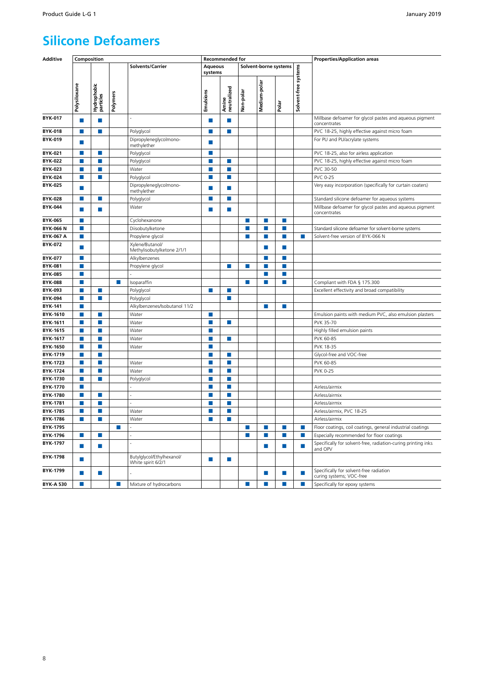### **Silicone Defoamers**

| <b>Additive</b>  | Composition  |                             |          |                                                 |                             | <b>Recommended for</b> |                             |                |                             |                      | <b>Properties/Application areas</b>                                      |
|------------------|--------------|-----------------------------|----------|-------------------------------------------------|-----------------------------|------------------------|-----------------------------|----------------|-----------------------------|----------------------|--------------------------------------------------------------------------|
|                  |              |                             |          | Solvents/Carrier                                | <b>Aqueous</b><br>systems   |                        |                             |                | Solvent-borne systems       |                      |                                                                          |
|                  | Polysiloxane | Hydrophobic<br>particles    | Polymers |                                                 | Emulsions                   | Amine<br>neutralized   | Non-polar                   | Medium-polar   | Polar                       | Solvent-free systems |                                                                          |
| <b>BYK-017</b>   | H.           | $\mathcal{C}^{\mathcal{A}}$ |          |                                                 | P.                          | P.                     |                             |                |                             |                      | Millbase defoamer for glycol pastes and aqueous pigment<br>concentrates  |
| <b>BYK-018</b>   | m.           | ×                           |          | Polyglycol                                      | F.                          | m.                     |                             |                |                             |                      | PVC 18-25, highly effective against micro foam                           |
| <b>BYK-019</b>   | П            |                             |          | Dipropyleneglycolmono-<br>methylether           | п                           |                        |                             |                |                             |                      | For PU and PU/acrylate systems                                           |
| BYK-021          | ш            | m.                          |          | Polyglycol                                      | P.                          |                        |                             |                |                             |                      | PVC 18-25, also for airless application                                  |
| <b>BYK-022</b>   | П            | F.                          |          | Polyglycol                                      | П                           | P.                     |                             |                |                             |                      | PVC 18-25, highly effective against micro foam                           |
| <b>BYK-023</b>   | П            | m.                          |          | Water                                           | П                           | H.                     |                             |                |                             |                      | PVC 30-50                                                                |
| <b>BYK-024</b>   | п            | P.                          |          | Polyglycol                                      | г                           | П                      |                             |                |                             |                      | <b>PVC 0-25</b>                                                          |
| <b>BYK-025</b>   | П            |                             |          | Dipropyleneglycolmono-<br>methylether           |                             | <b>The State</b>       |                             |                |                             |                      | Very easy incorporation (specifically for curtain coaters)               |
| <b>BYK-028</b>   | П            | $\mathcal{C}^{\mathcal{A}}$ |          | Polyglycol                                      |                             | H                      |                             |                |                             |                      | Standard silicone defoamer for aqueous systems                           |
| <b>BYK-044</b>   | п            | <b>In</b>                   |          | Water                                           | П                           | П                      |                             |                |                             |                      | Millbase defoamer for glycol pastes and aqueous pigment<br>concentrates  |
| <b>BYK-065</b>   | П            |                             |          | Cyclohexanone                                   |                             |                        | P.                          | П              | m.                          |                      |                                                                          |
| <b>BYK-066 N</b> | п            |                             |          | Diisobutylketone                                |                             |                        | m.                          | П              | П                           |                      | Standard silicone defoamer for solvent-borne systems                     |
| <b>BYK-067 A</b> | <b>COL</b>   |                             |          | Propylene glycol                                |                             |                        | P.                          | m.             | $\sim$                      | П                    | Solvent-free version of BYK-066 N                                        |
| BYK-072          | <b>COL</b>   |                             |          | Xylene/Butanol/<br>Methylisobutylketone 2/1/1   |                             |                        |                             | H              | P.                          |                      |                                                                          |
| <b>BYK-077</b>   | ×            |                             |          | Alkylbenzenes                                   |                             |                        |                             | <b>In the </b> | m.                          |                      |                                                                          |
| <b>BYK-081</b>   | п            |                             |          | Propylene glycol                                |                             | ш                      | п                           | П              | P.                          |                      |                                                                          |
| <b>BYK-085</b>   | П            |                             |          |                                                 |                             |                        |                             | П              | P.                          |                      |                                                                          |
| <b>BYK-088</b>   | П            |                             | H.       | Isoparaffin                                     |                             |                        | m.                          | П              | F.                          |                      | Compliant with FDA § 175.300                                             |
| <b>BYK-093</b>   | П            | D                           |          | Polyglycol                                      | П                           | ш                      |                             |                |                             |                      | Excellent effectivity and broad compatibility                            |
| <b>BYK-094</b>   | П            | P.                          |          | Polyglycol                                      |                             | m,                     |                             |                |                             |                      |                                                                          |
| <b>BYK-141</b>   | П            |                             |          | Alkylbenzenes/Isobutanol 11/2                   |                             |                        |                             | п              | П                           |                      |                                                                          |
| <b>BYK-1610</b>  | п            | <b>College</b>              |          | Water                                           | П                           |                        |                             |                |                             |                      | Emulsion paints with medium PVC, also emulsion plasters                  |
| BYK-1611         | П            | P.                          |          | Water                                           | m.                          | P.                     |                             |                |                             |                      | PVK 35-70                                                                |
| BYK-1615         | H.           | $\mathcal{C}^{\mathcal{A}}$ |          | Water                                           | П                           |                        |                             |                |                             |                      | Highly filled emulsion paints                                            |
| BYK-1617         | П            | F.                          |          | Water                                           | П                           | ш                      |                             |                |                             |                      | PVK 60-85                                                                |
| BYK-1650         | П            | m.                          |          | Water                                           | П                           |                        |                             |                |                             |                      | PVK 18-35                                                                |
| BYK-1719         | П            | m.                          |          |                                                 | п                           | П                      |                             |                |                             |                      | Glycol-free and VOC-free                                                 |
| BYK-1723         | П            | P.                          |          | Water                                           | г                           | П                      |                             |                |                             |                      | PVK 60-85                                                                |
| BYK-1724         | H.           | F.                          |          | Water                                           | П                           | P.                     |                             |                |                             |                      | <b>PVK 0-25</b>                                                          |
| BYK-1730         | П            | F.                          |          | Polyglycol                                      | п                           | H.                     |                             |                |                             |                      |                                                                          |
| <b>BYK-1770</b>  | п            |                             |          |                                                 |                             | П                      |                             |                |                             |                      | Airless/airmix                                                           |
| BYK-1780         | П            | <b>In</b>                   |          | ÷                                               | П                           | P.                     |                             |                |                             |                      | Airless/airmix                                                           |
| BYK-1781         | г            | m.                          |          |                                                 | П                           | П                      |                             |                |                             |                      | Airless/airmix                                                           |
| <b>BYK-1785</b>  | П            | ×                           |          | Water                                           |                             | П                      |                             |                |                             |                      | Airless/airmix, PVC 18-25                                                |
| BYK-1786         | П            | m.                          |          | Water                                           |                             | ш                      |                             |                |                             |                      | Airless/airmix                                                           |
| BYK-1795         |              |                             | П        |                                                 |                             |                        | $\mathbb{R}^n$              | <u>ri</u>      | F.                          | M.                   | Floor coatings, coil coatings, general industrial coatings               |
| BYK-1796         | H.           | P.                          |          |                                                 |                             |                        | $\mathcal{C}^{\mathcal{A}}$ | F.             | F.                          | m,                   | Especially recommended for floor coatings                                |
| BYK-1797         | m.           | ×                           |          |                                                 |                             |                        |                             | П              | ×                           | п                    | Specifically for solvent-free, radiation-curing printing inks<br>and OPV |
| <b>BYK-1798</b>  | П            |                             |          | Butylglycol/Ethylhexanol/<br>White spirit 6/2/1 | $\mathcal{L}_{\mathcal{A}}$ | П                      |                             |                |                             |                      |                                                                          |
| BYK-1799         | П            | $\mathbb{R}^n$              |          |                                                 |                             |                        |                             | $\Box$         | $\mathcal{L}_{\mathcal{A}}$ | <b>Talent</b>        | Specifically for solvent-free radiation<br>curing systems; VOC-free      |
| <b>BYK-A 530</b> | П            |                             | П        | Mixture of hydrocarbons                         |                             |                        | $\mathcal{C}^{\mathcal{A}}$ | П              | П                           | <b>COL</b>           | Specifically for epoxy systems                                           |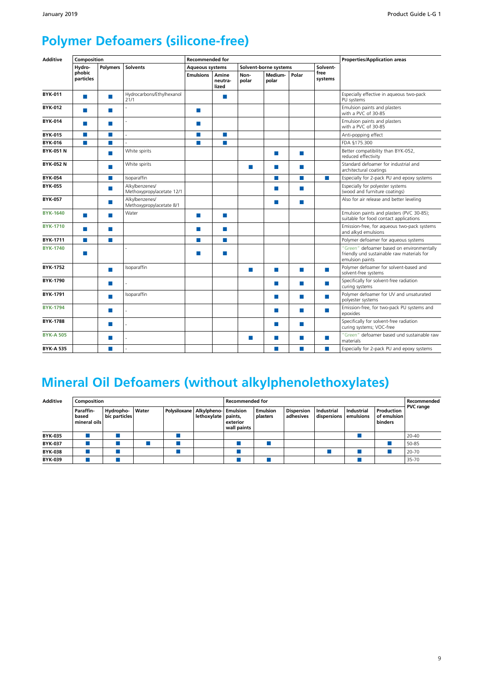## **Polymer Defoamers (silicone-free)**

| <b>Additive</b>  | Composition         |               |                                             | <b>Recommended for</b> |                           |                  |                       |                  |                 | <b>Properties/Application areas</b>                                                                        |  |
|------------------|---------------------|---------------|---------------------------------------------|------------------------|---------------------------|------------------|-----------------------|------------------|-----------------|------------------------------------------------------------------------------------------------------------|--|
|                  | Hydro-              | Polymers      | <b>Solvents</b>                             | <b>Aqueous systems</b> |                           |                  | Solvent-borne systems |                  | Solvent-        |                                                                                                            |  |
|                  | phobic<br>particles |               |                                             | <b>Emulsions</b>       | Amine<br>neutra-<br>lized | Non-<br>polar    | Medium-<br>polar      | Polar            | free<br>systems |                                                                                                            |  |
| <b>BYK-011</b>   | <b>College</b>      | $\mathcal{C}$ | Hydrocarbons/Ethylhexanol<br>21/1           |                        | ×                         |                  |                       |                  |                 | Especially effective in aqueous two-pack<br>PU systems                                                     |  |
| <b>BYK-012</b>   | <b>COL</b>          | п             |                                             | m.                     |                           |                  |                       |                  |                 | Emulsion paints and plasters<br>with a PVC of 30-85                                                        |  |
| <b>BYK-014</b>   | m.                  | $\sim$        |                                             | $\sim$                 |                           |                  |                       |                  |                 | Emulsion paints and plasters<br>with a PVC of 30-85                                                        |  |
| <b>BYK-015</b>   | m.                  | п             |                                             | m.                     | <b>The</b>                |                  |                       |                  |                 | Anti-popping effect                                                                                        |  |
| <b>BYK-016</b>   | P.                  | m.            |                                             | $\mathcal{C}$          | ×                         |                  |                       |                  |                 | FDA §175.300                                                                                               |  |
| <b>BYK-051 N</b> |                     | m.            | White spirits                               |                        |                           |                  | <b>COL</b>            | <b>College</b>   |                 | Better compatibility than BYK-052,<br>reduced effectivity                                                  |  |
| <b>BYK-052N</b>  |                     | m.            | White spirits                               |                        |                           | <b>The State</b> | П                     | ш                |                 | Standard defoamer for industrial and<br>architectural coatings                                             |  |
| <b>BYK-054</b>   |                     | $\sim$        | Isoparaffin                                 |                        |                           |                  |                       | <b>College</b>   | $\sim$          | Especially for 2-pack PU and epoxy systems                                                                 |  |
| <b>BYK-055</b>   |                     | <b>COL</b>    | Alkvlbenzenes/<br>Methoxypropylacetate 12/1 |                        |                           |                  | m.                    | <b>Tall</b>      |                 | Especially for polyester systems<br>(wood and furniture coatings)                                          |  |
| <b>BYK-057</b>   |                     | m.            | Alkvlbenzenes/<br>Methoxypropylacetate 8/1  |                        |                           |                  | П                     | <b>Tall</b>      |                 | Also for air release and better leveling                                                                   |  |
| <b>BYK-1640</b>  | <b>The State</b>    | $\sim$        | Water                                       | <b>COL</b>             | <b>I</b>                  |                  |                       |                  |                 | Emulsion paints and plasters (PVC 30-85);<br>suitable for food contact applications                        |  |
| <b>BYK-1710</b>  | <b>The</b>          | $\mathcal{C}$ |                                             | P.                     | P.                        |                  |                       |                  |                 | Emission-free, for aqueous two-pack systems<br>and alkyd emulsions                                         |  |
| BYK-1711         | <b>College</b>      | $\mathcal{C}$ |                                             | P.                     | <b>The</b>                |                  |                       |                  |                 | Polymer defoamer for aqueous systems                                                                       |  |
| <b>BYK-1740</b>  | <b>The</b>          |               |                                             | P.                     | <b>The</b>                |                  |                       |                  |                 | "Green" defoamer based on environmentally<br>friendly und sustainable raw materials for<br>emulsion paints |  |
| <b>BYK-1752</b>  |                     | m.            | Isoparaffin                                 |                        |                           | ×.               | H.                    | m,               | <b>College</b>  | Polymer defoamer for solvent-based and<br>solvent-free systems                                             |  |
| BYK-1790         |                     | m.            |                                             |                        |                           |                  | ш                     | ш                | <b>COL</b>      | Specifically for solvent-free radiation<br>curing systems                                                  |  |
| BYK-1791         |                     | m.            | Isoparaffin                                 |                        |                           |                  | П                     | <b>In the </b>   | <b>College</b>  | Polymer defoamer for UV and unsaturated<br>polyester systems                                               |  |
| <b>BYK-1794</b>  |                     | m.            |                                             |                        |                           |                  | П                     | <b>The State</b> | <b>COL</b>      | Emission-free, for two-pack PU systems and<br>epoxides                                                     |  |
| <b>BYK-1788</b>  |                     | п             |                                             |                        |                           |                  | ш                     | ш                |                 | Specifically for solvent-free radiation<br>curing systems; VOC-free                                        |  |
| <b>BYK-A 505</b> |                     | m.            |                                             |                        |                           | ш                | H.                    | <b>College</b>   | m.              | "Green" defoamer based und sustainable raw<br>materials                                                    |  |
| <b>BYK-A 535</b> |                     | m.            | $\overline{a}$                              |                        |                           |                  | ш                     | <b>College</b>   | <b>COL</b>      | Especially for 2-pack PU and epoxy systems                                                                 |  |

## **Mineral Oil Defoamers (without alkylphenolethoxylates)**

| <b>Additive</b> | Composition                        |                            |       |              |                                               | <b>Recommended for</b>  |                             |                                |                           |                         |                                      | Recommended      |
|-----------------|------------------------------------|----------------------------|-------|--------------|-----------------------------------------------|-------------------------|-----------------------------|--------------------------------|---------------------------|-------------------------|--------------------------------------|------------------|
|                 | Paraffin-<br>based<br>mineral oils | Hydropho-<br>bic particles | Water | Polysiloxane | Alkylpheno- Emulsion<br>lethoxylate   paints, | exterior<br>wall paints | <b>Emulsion</b><br>plasters | <b>Dispersion</b><br>adhesives | Industrial<br>dispersions | Industrial<br>emulsions | Production<br>of emulsion<br>binders | <b>PVC</b> range |
| <b>BYK-035</b>  |                                    |                            |       |              |                                               |                         |                             |                                |                           |                         |                                      | $20 - 40$        |
| <b>BYK-037</b>  |                                    |                            |       |              |                                               |                         |                             |                                |                           |                         |                                      | 50-85            |
| <b>BYK-038</b>  |                                    |                            |       |              |                                               |                         |                             |                                |                           |                         |                                      | 20-70            |
| <b>BYK-039</b>  |                                    |                            |       |              |                                               |                         |                             |                                |                           |                         |                                      | 35-70            |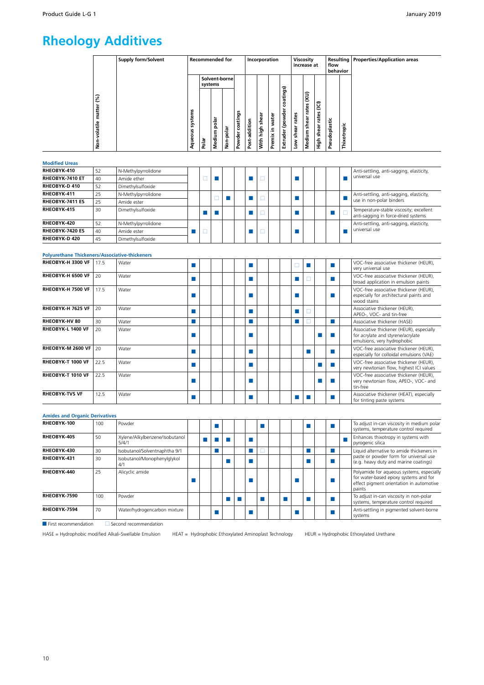## **Rheology Additives**

| Supply form/Solvent                                                               | Recommended for  |                                   |           |                    |               | Incorporation         |                       |                                          | Viscosity<br>increase at |                                 |                                           | flow<br>behavior |             | Resulting   Properties/Application areas |
|-----------------------------------------------------------------------------------|------------------|-----------------------------------|-----------|--------------------|---------------|-----------------------|-----------------------|------------------------------------------|--------------------------|---------------------------------|-------------------------------------------|------------------|-------------|------------------------------------------|
| $\mathcal{S}$<br>matter<br>w<br>Ë<br>stei<br>-volatile<br>Š,<br>n<br>Aqueou:<br>ġ | systems<br>Polar | Solvent-bornel<br>polai<br>Medium | Non-polar | coatings<br>Powder | Post-addition | shear<br>high<br>With | water<br>르.<br>Premix | atings)<br>8<br>۰<br>(powder<br>Extruder | rates<br>shear<br>ŠΜ     | ίKΟ<br>rates<br>shear<br>Medium | $\widehat{\Xi}$<br>rates<br>shear<br>High | Pseudoplastic    | Thixotropic |                                          |

#### **Modified Ureas**

| RHEOBYK-410            | 52 | N-Methylpyrrolidone |  |  |  |  |  |  |  | Anti-settling, anti-sagging, elasticity,                                       |
|------------------------|----|---------------------|--|--|--|--|--|--|--|--------------------------------------------------------------------------------|
| RHEOBYK-7410 ET        | 40 | Amide ether         |  |  |  |  |  |  |  | universal use                                                                  |
| RHEOBYK-D 410          | 52 | Dimethylsulfoxide   |  |  |  |  |  |  |  |                                                                                |
| RHEOBYK-411            | 25 | N-Methylpyrrolidone |  |  |  |  |  |  |  | Anti-settling, anti-sagging, elasticity,                                       |
| <b>RHEOBYK-7411 ES</b> | 25 | Amide ester         |  |  |  |  |  |  |  | use in non-polar binders                                                       |
| RHEOBYK-415            | 30 | Dimethylsulfoxide   |  |  |  |  |  |  |  | Temperature-stable viscosity; excellent<br>anti-sagging in force-dried systems |
| RHEOBYK-420            | 52 | N-Methylpyrrolidone |  |  |  |  |  |  |  | Anti-settling, anti-sagging, elasticity,                                       |
| <b>RHEOBYK-7420 ES</b> | 40 | Amide ester         |  |  |  |  |  |  |  | universal use                                                                  |
| RHEOBYK-D 420          | 45 | Dimethylsulfoxide   |  |  |  |  |  |  |  |                                                                                |

#### **Polyurethane Thickeners/Associative-thickeners**

| RHEOBYK-H 3300 VF     | 17.5 | Water |  |  |  |  |  |  |  | VOC-free associative thickener (HEUR),<br>very universal use                                                 |
|-----------------------|------|-------|--|--|--|--|--|--|--|--------------------------------------------------------------------------------------------------------------|
| RHEOBYK-H 6500 VF     | 20   | Water |  |  |  |  |  |  |  | VOC-free associative thickener (HEUR),<br>broad application in emulsion paints                               |
| RHEOBYK-H 7500 VF     | 17.5 | Water |  |  |  |  |  |  |  | VOC-free associative thickener (HEUR),<br>especially for architectural paints and<br>wood stains             |
| RHEOBYK-H 7625 VF     | 20   | Water |  |  |  |  |  |  |  | Associative thickener (HEUR),<br>APEO-, VOC- and tin-free                                                    |
| <b>RHEOBYK-HV 80</b>  | 30   | Water |  |  |  |  |  |  |  | Associative thickener (HASE)                                                                                 |
| RHEOBYK-L 1400 VF     | 20   | Water |  |  |  |  |  |  |  | Associative thickener (HEUR), especially<br>for acrylate and styrene/acrylate<br>emulsions, very hydrophobic |
| RHEOBYK-M 2600 VF     | 120  | Water |  |  |  |  |  |  |  | VOC-free associative thickener (HEUR).<br>especially for colloidal emulsions (VAE)                           |
| RHEOBYK-T 1000 VF     | 22.5 | Water |  |  |  |  |  |  |  | VOC-free associative thickener (HEUR),<br>very newtonian flow, highest ICI values                            |
| RHEOBYK-T 1010 VF     | 22.5 | Water |  |  |  |  |  |  |  | VOC-free associative thickener (HEUR),<br>very newtonian flow, APEO-, VOC- and<br>tin-free                   |
| <b>RHEOBYK-TVS VF</b> | 12.5 | Water |  |  |  |  |  |  |  | Associative thickener (HEAT), especially<br>for tinting paste systems                                        |

#### **Amides and Organic Derivatives REGIST REGIST RECESSION REGISTER REGISTER REGISTER REGISTER REGISTER REGISTER REGISTER REGISTER REGISTER REGISTER REGISTER REGISTER REGISTER REGISTER REGISTER REGISTER REGISTER REGISTER** systems, temperature control required<br>Enhances thixotropy in systems with **RHEOBYK-405** 50 Xylene/Alkylbenzene/Isobutanol 5/4/1 <sup>X</sup> <sup>X</sup> <sup>X</sup> <sup>X</sup> <sup>X</sup> Enhances thixotropy in systems with pyrogenic silica **RHEOBYK-430** 30 Isobutanol/Solventnaphtha 9/1 X X Y X X Liquid alternative to amide thickeners in paste or powder form for universal use (e.g. heavy duty and marine coatings) **RHEOBYK-431** <sup>30</sup> Isobutanol/Monophenylglykol 4/1 <sup>X</sup> <sup>X</sup> <sup>X</sup> <sup>X</sup> **RHEOBYK-440** 25 Alicyclic amide X X X X Polyamide for aqueous systems, especially for water-based epoxy systems and for effect pigment orientation in automotive paints **RHEOBYK-7590** 100 Powder **X X X X X X X X X X To adjust in-can viscosity in non-polar (NET) C III III III III III III III III III III III III III III III III III III III III III RHEOBYK-7594** 70 Water/hydrogencarbon mixture V **X** X X X X X X Anti-settling in pigmented solvent-borne systems

 $\overline{\phantom{a}}$  First recommendation  $\overline{\phantom{a}}$  Second recommendation

HASE = Hydrophobic modified Alkali-Swellable Emulsion HEAT = Hydrophobic Ethoxylated Aminoplast Technology HEUR = Hydrophobic Ethoxylated Urethane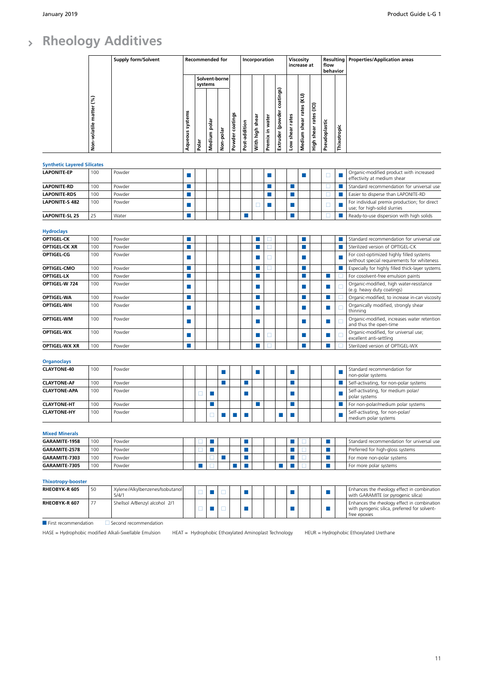#### **Rheology Additives**  $\overline{\phantom{a}}$

|                                    |                         | <b>Supply form/Solvent</b>               |                             |        | <b>Recommended for</b>      |               |                 |                             | Incorporation   |                 |                            |                 | Viscosity<br>increase at    |                             | flow<br>behavior            |             | Resulting   Properties/Application areas                                                                     |
|------------------------------------|-------------------------|------------------------------------------|-----------------------------|--------|-----------------------------|---------------|-----------------|-----------------------------|-----------------|-----------------|----------------------------|-----------------|-----------------------------|-----------------------------|-----------------------------|-------------|--------------------------------------------------------------------------------------------------------------|
|                                    |                         |                                          |                             |        | systems                     | Solvent-borne |                 |                             |                 |                 |                            |                 |                             |                             |                             |             |                                                                                                              |
|                                    | Non-volatile matter (%) |                                          | Aqueous systems             | Polar  | Medium pola                 | Non-polar     | Powder coatings | Post-addition               | With high shear | Premix in water | Extruder (powder coatings) | Low shear rates | Medium shear rates (KU)     | shear rates (ICI)<br>-<br>空 | Pseudoplastic               | Thixotropic |                                                                                                              |
| <b>Synthetic Layered Silicates</b> |                         |                                          |                             |        |                             |               |                 |                             |                 |                 |                            |                 |                             |                             |                             |             |                                                                                                              |
| <b>LAPONITE-EP</b>                 | 100                     | Powder                                   | $\Box$                      |        |                             |               |                 |                             |                 | $\Box$          |                            |                 | L.                          |                             | □                           |             | Organic-modified product with increased<br>effectivity at medium shear                                       |
| <b>LAPONITE-RD</b>                 | 100                     | Powder                                   | H.                          |        |                             |               |                 |                             |                 | H.              |                            | H.              |                             |                             | □                           | F           | Standard recommendation for universal use                                                                    |
| <b>LAPONITE-RDS</b>                | 100                     | Powder                                   | m,                          |        |                             |               |                 |                             |                 | П               |                            | П               |                             |                             | □                           | П           | Easier to disperse than LAPONITE-RD                                                                          |
| <b>LAPONITE-S 482</b>              | 100                     | Powder                                   | ш                           |        |                             |               |                 |                             | □               | П               |                            | ш               |                             |                             | □                           | L           | For individual premix production; for direct<br>use; for high-solid slurries                                 |
| <b>LAPONITE-SL 25</b>              | 25                      | Water                                    | П                           |        |                             |               |                 | P.                          |                 |                 |                            | m,              |                             |                             | П                           |             | Ready-to-use dispersion with high solids                                                                     |
| <b>Hydroclays</b>                  |                         |                                          |                             |        |                             |               |                 |                             |                 |                 |                            |                 |                             |                             |                             |             |                                                                                                              |
| <b>OPTIGEL-CK</b>                  | 100                     | Powder                                   | m.                          |        |                             |               |                 |                             | П               | □               |                            |                 | ш                           |                             |                             | r.          | Standard recommendation for universal use                                                                    |
| OPTIGEL-CK XR                      | 100                     | Powder                                   | <b>In the </b>              |        |                             |               |                 |                             | п               | $\Box$          |                            |                 | $\mathcal{C}$               |                             |                             | п           | Sterilized version of OPTIGEL-CK                                                                             |
| <b>OPTIGEL-CG</b>                  | 100                     | Powder                                   | $\mathcal{C}^{\mathcal{A}}$ |        |                             |               |                 |                             | П               | □               |                            |                 | P.                          |                             |                             |             | For cost-optimized highly filled systems<br>without special requirements for whiteness                       |
| OPTIGEL-CMO                        | 100                     | Powder                                   | H.                          |        |                             |               |                 |                             | Ш               | п               |                            |                 |                             |                             |                             | П           | Especially for highly filled thick-layer systems                                                             |
| <b>OPTIGEL-LX</b>                  | 100                     | Powder                                   | m.                          |        |                             |               |                 |                             | П               |                 |                            |                 | m.                          |                             | п                           | П           | For cosolvent-free emulsion paints                                                                           |
| OPTIGEL-W 724                      | 100                     | Powder                                   | П                           |        |                             |               |                 |                             | П               |                 |                            |                 | P.                          |                             | п                           | $\Box$      | Organic-modified, high water-resistance<br>(e.g. heavy duty coatings)                                        |
| <b>OPTIGEL-WA</b>                  | 100                     | Powder                                   | ш                           |        |                             |               |                 |                             | $\Box$          |                 |                            |                 |                             |                             | П                           |             | Organic-modified, to increase in-can viscosity                                                               |
| <b>OPTIGEL-WH</b>                  | 100                     | Powder                                   | $\Box$                      |        |                             |               |                 |                             | $\Box$          |                 |                            |                 | $\mathcal{L}_{\mathcal{A}}$ |                             | $\mathcal{L}_{\mathcal{A}}$ | $\Box$      | Organically modified, strongly shear<br>thinning                                                             |
| <b>OPTIGEL-WM</b>                  | 100                     | Powder                                   | $\Box$                      |        |                             |               |                 |                             |                 |                 |                            |                 | H.                          |                             | $\mathcal{L}_{\mathcal{A}}$ | Е           | Organic-modified, increases water retention<br>and thus the open-time                                        |
| <b>OPTIGEL-WX</b>                  | 100                     | Powder                                   | $\Box$                      |        |                             |               |                 |                             | П               | □               |                            |                 | ш                           |                             | П                           | ⊏           | Organic-modified, for universal use;<br>excellent anti-settling                                              |
| OPTIGEL-WX XR                      | 100                     | Powder                                   | m.                          |        |                             |               |                 |                             | П               | □               |                            |                 | п                           |                             | п                           |             | Sterilized version of OPTIGEL-WX                                                                             |
| <b>Organoclays</b>                 |                         |                                          |                             |        |                             |               |                 |                             |                 |                 |                            |                 |                             |                             |                             |             |                                                                                                              |
| <b>CLAYTONE-40</b>                 | 100                     | Powder                                   |                             |        |                             | m.            |                 |                             | П               |                 |                            | H.              |                             |                             |                             | П           | Standard recommendation for<br>non-polar systems                                                             |
| <b>CLAYTONE-AF</b>                 | 100                     | Powder                                   |                             |        |                             |               |                 | ▅                           |                 |                 |                            |                 |                             |                             |                             |             | Self-activating, for non-polar systems                                                                       |
| <b>CLAYTONE-APA</b>                | 100                     | Powder                                   |                             | □      |                             |               |                 | П                           |                 |                 |                            | ш               |                             |                             |                             | П           | Self-activating, for medium polar/<br>polar systems                                                          |
| <b>CLAYTONE-HT</b>                 | 100                     | Powder                                   |                             |        |                             |               |                 |                             |                 |                 |                            |                 |                             |                             |                             |             | For non-polar/medium polar systems                                                                           |
| <b>CLAYTONE-HY</b>                 | 100                     | Powder                                   |                             |        | ш                           | P.            | П               | F.                          |                 |                 | П                          |                 |                             |                             |                             | П           | Self-activating, for non-polar/<br>medium polar systems                                                      |
| <b>Mixed Minerals</b>              |                         |                                          |                             |        |                             |               |                 |                             |                 |                 |                            |                 |                             |                             |                             |             |                                                                                                              |
| GARAMITE-1958                      | 100                     | Powder                                   |                             | □      | $\mathcal{L}_{\mathcal{A}}$ |               |                 | <b>The State</b>            |                 |                 |                            | п               | □                           |                             | m.                          |             | Standard recommendation for universal use                                                                    |
| GARAMITE-2578                      | 100                     | Powder                                   |                             | □      | m,                          |               |                 | $\mathcal{C}$               |                 |                 |                            | M.              | $\Box$                      |                             | ×                           |             | Preferred for high-gloss systems                                                                             |
| GARAMITE-7303                      | 100                     | Powder                                   |                             |        | □                           | m.            |                 | F.                          |                 |                 |                            | H.              | □                           |                             | m.                          |             | For more non-polar systems                                                                                   |
| GARAMITE-7305                      | 100                     | Powder                                   |                             |        | п                           |               |                 | P.                          |                 |                 |                            |                 | $\Box$                      |                             | $\mathcal{C}$               |             | For more polar systems                                                                                       |
| <b>Thixotropy-booster</b>          |                         |                                          |                             |        |                             |               |                 |                             |                 |                 |                            |                 |                             |                             |                             |             |                                                                                                              |
| RHEOBYK-R 605                      | 50                      | Xylene/Alkylbenzenes/Isobutanol<br>5/4/1 |                             | $\Box$ | П                           | □             |                 | $\mathcal{L}_{\mathcal{A}}$ |                 |                 |                            | ×               |                             |                             | $\Box$                      |             | Enhances the rheology effect in combination<br>with GARAMITE (or pyrogenic silica)                           |
| RHEOBYK-R 607                      | 77                      | Shellsol A/Benzyl alcohol 2/1            |                             | □      | <b>Talent</b>               | □             |                 | ш                           |                 |                 |                            | <b>Talent</b>   |                             |                             | $\mathcal{L}_{\mathcal{A}}$ |             | Enhances the rheology effect in combination<br>with pyrogenic silica, preferred for solvent-<br>free epoxies |

 $\Box$  First recommendation  $\Box$  Second recommendation

HASE = Hydrophobic modified Alkali-Swellable Emulsion HEAT = Hydrophobic Ethoxylated Aminoplast Technology HEUR = Hydrophobic Ethoxylated Urethane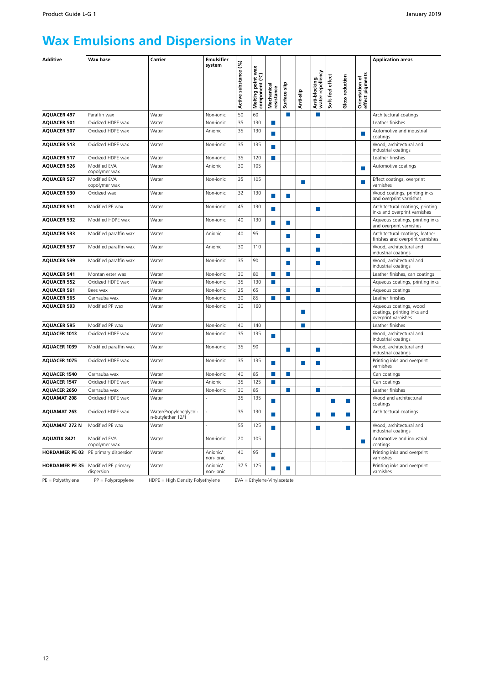## **Wax Emulsions and Dispersions in Water**

| <b>Additive</b>       | Wax base                          | Carrier                                     | <b>Emulsifier</b>     |                             |                                                       |                          |              |                |                                    |                  |                 |                                   | <b>Application areas</b>                                                     |
|-----------------------|-----------------------------------|---------------------------------------------|-----------------------|-----------------------------|-------------------------------------------------------|--------------------------|--------------|----------------|------------------------------------|------------------|-----------------|-----------------------------------|------------------------------------------------------------------------------|
|                       |                                   |                                             | system                | ે<br>Active substance       | point wax<br>nent (°C)<br>Melting poin<br>component ( | Mechanical<br>resistance | Surface slip | Anti-slip      | Anti-blocking,<br>water repellency | Soft-feel effect | Gloss reduction | Orientation of<br>effect pigments |                                                                              |
| <b>AQUACER 497</b>    | Paraffin wax                      | Water                                       | Non-ionic             | 50                          | 60                                                    |                          | П            |                | П                                  |                  |                 |                                   | Architectural coatings                                                       |
| <b>AQUACER 501</b>    | Oxidized HDPE wax                 | Water                                       | Non-ionic             | 35                          | 130                                                   | П                        |              |                |                                    |                  |                 |                                   | Leather finishes                                                             |
| <b>AQUACER 507</b>    | Oxidized HDPE wax                 | Water                                       | Anionic               | 35                          | 130                                                   | п                        |              |                |                                    |                  |                 | <b>COL</b>                        | Automotive and industrial<br>coatings                                        |
| <b>AQUACER 513</b>    | Oxidized HDPE wax                 | Water                                       | Non-jonic             | 35                          | 135                                                   | п                        |              |                |                                    |                  |                 |                                   | Wood, architectural and<br>industrial coatings                               |
| <b>AQUACER 517</b>    | Oxidized HDPE wax                 | Water                                       | Non-ionic             | 35                          | 120                                                   | п                        |              |                |                                    |                  |                 |                                   | Leather finishes                                                             |
| <b>AQUACER 526</b>    | Modified EVA<br>copolymer wax     | Water                                       | Anionic               | 30                          | 105                                                   |                          |              |                |                                    |                  |                 |                                   | Automotive coatings                                                          |
| <b>AQUACER 527</b>    | Modified EVA<br>copolymer wax     | Water                                       | Non-ionic             | 35                          | 105                                                   |                          |              | m.             |                                    |                  |                 |                                   | Effect coatings, overprint<br>varnishes                                      |
| <b>AQUACER 530</b>    | Oxidized wax                      | Water                                       | Non-jonic             | 32                          | 130                                                   |                          | m,           |                |                                    |                  |                 |                                   | Wood coatings, printing inks<br>and overprint varnishes                      |
| <b>AQUACER 531</b>    | Modified PE wax                   | Water                                       | Non-ionic             | 45                          | 130                                                   | П                        |              |                | P.                                 |                  |                 |                                   | Architectural coatings, printing<br>inks and overprint varnishes             |
| <b>AQUACER 532</b>    | Modified HDPF wax                 | Water                                       | Non-ionic             | 40                          | 130                                                   | П                        | П            |                |                                    |                  |                 |                                   | Aqueous coatings, printing inks<br>and overprint varnishes                   |
| <b>AQUACER 533</b>    | Modified paraffin wax             | Water                                       | Anionic               | 40                          | 95                                                    |                          | П            |                | P.                                 |                  |                 |                                   | Architectural coatings, leather<br>finishes and overprint varnishes          |
| <b>AQUACER 537</b>    | Modified paraffin wax             | Water                                       | Anionic               | 30                          | 110                                                   |                          | n.           |                | П                                  |                  |                 |                                   | Wood, architectural and<br>industrial coatings                               |
| <b>AQUACER 539</b>    | Modified paraffin wax             | Water                                       | Non-ionic             | 35                          | 90                                                    |                          | г            |                | П                                  |                  |                 |                                   | Wood, architectural and<br>industrial coatings                               |
| <b>AQUACER 541</b>    | Montan ester wax                  | Water                                       | Non-ionic             | 30                          | 80                                                    | П                        | п            |                |                                    |                  |                 |                                   | Leather finishes, can coatings                                               |
| <b>AQUACER 552</b>    | Oxidized HDPE wax                 | Water                                       | Non-ionic             | 35                          | 130                                                   | П                        |              |                |                                    |                  |                 |                                   | Aqueous coatings, printing inks                                              |
| <b>AQUACER 561</b>    | Bees wax                          | Water                                       | Non-ionic             | 25                          | 65                                                    |                          | П            |                | п                                  |                  |                 |                                   | Aqueous coatings                                                             |
| <b>AQUACER 565</b>    | Carnauba wax                      | Water                                       | Non-ionic             | 30                          | 85                                                    | П                        | m,           |                |                                    |                  |                 |                                   | Leather finishes                                                             |
| <b>AQUACER 593</b>    | Modified PP wax                   | Water                                       | Non-ionic             | 30                          | 160                                                   |                          |              | m.             |                                    |                  |                 |                                   | Aqueous coatings, wood<br>coatings, printing inks and<br>overprint varnishes |
| <b>AQUACER 595</b>    | Modified PP wax                   | Water                                       | Non-ionic             | 40                          | 140                                                   |                          |              | m.             |                                    |                  |                 |                                   | Leather finishes                                                             |
| <b>AQUACER 1013</b>   | Oxidized HDPE wax                 | Water                                       | Non-ionic             | 35                          | 135                                                   | m,                       |              |                |                                    |                  |                 |                                   | Wood, architectural and<br>industrial coatings                               |
| <b>AQUACER 1039</b>   | Modified paraffin wax             | Water                                       | Non-ionic             | 35                          | 90                                                    |                          | ш            |                | <b>Tall</b>                        |                  |                 |                                   | Wood, architectural and<br>industrial coatings                               |
| <b>AQUACER 1075</b>   | Oxidized HDPE wax                 | Water                                       | Non-ionic             | 35                          | 135                                                   | п                        |              | <b>In the </b> |                                    |                  |                 |                                   | Printing inks and overprint<br>varnishes                                     |
| <b>AQUACER 1540</b>   | Carnauba wax                      | Water                                       | Non-ionic             | 40                          | 85                                                    | п                        | п            |                |                                    |                  |                 |                                   | Can coatings                                                                 |
| <b>AQUACER 1547</b>   | Oxidized HDPE wax                 | Water                                       | Anionic               | 35                          | 125                                                   | П                        |              |                |                                    |                  |                 |                                   | Can coatings                                                                 |
| <b>AQUACER 2650</b>   | Carnauba wax                      | Water                                       | Non-ionic             | 30                          | 85                                                    |                          | П            |                | m,                                 |                  |                 |                                   | Leather finishes                                                             |
| <b>AQUAMAT 208</b>    | Oxidized HDPE wax                 | Water                                       |                       | 35                          | 135                                                   | п                        |              |                |                                    | п                | ш               |                                   | Wood and architectural<br>coatings                                           |
| <b>AQUAMAT 263</b>    | Oxidized HDPE wax                 | Water/Propyleneglycol-<br>n-butylether 12/1 |                       | 35                          | 130                                                   | П                        |              |                | П                                  | <b>College</b>   |                 |                                   | Architectural coatings                                                       |
| <b>AQUAMAT 272 N</b>  | Modified PE wax                   | Water                                       |                       | 55                          | 125                                                   | ×                        |              |                | ×                                  |                  | F.              |                                   | Wood, architectural and<br>industrial coatings                               |
| <b>AQUATIX 8421</b>   | Modified EVA<br>copolymer wax     | Water                                       | Non-ionic             | 20                          | 105                                                   |                          |              |                |                                    |                  |                 | п                                 | Automotive and industrial<br>coatings                                        |
| <b>HORDAMER PE 03</b> | PE primary dispersion             | Water                                       | Anionic/<br>non-ionic | 40                          | 95                                                    | п                        |              |                |                                    |                  |                 |                                   | Printing inks and overprint<br>varnishes                                     |
| <b>HORDAMER PE 35</b> | Modified PE primary<br>dispersion | Water                                       | Anionic/<br>non-ionic | 37.5                        | 125                                                   |                          | H            |                |                                    |                  |                 |                                   | Printing inks and overprint<br>varnishes                                     |
| $PE = Polyethylene$   | $PP = Polypropylene$              | HDPE = High Density Polyethylene            |                       | EVA = Ethylene-Vinylacetate |                                                       |                          |              |                |                                    |                  |                 |                                   |                                                                              |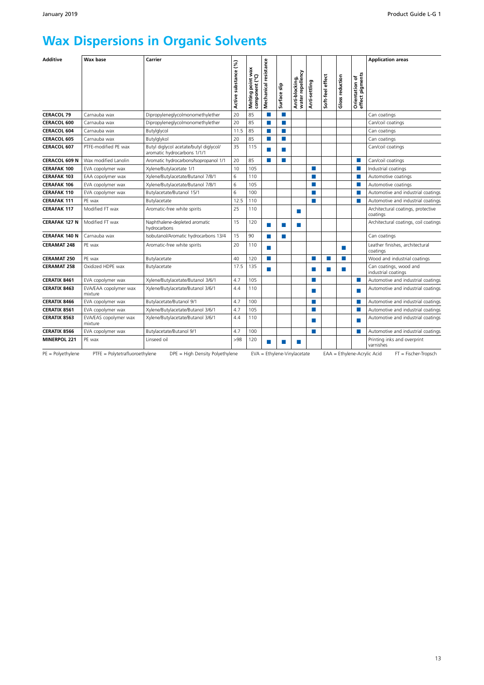## **Wax Dispersions in Organic Solvents**

| <b>Additive</b>      | <b>Wax base</b>                  | Carrier                                                               | Active substance (%) | Melting point wax<br>component (°C) | Mechanical resistance | Surface slip                | Anti-blocking,<br>water repellency | Anti-settling     | Soft-feel effect | <b>Gloss reduction</b> | Orientation of<br>effect pigments | <b>Application areas</b>                              |
|----------------------|----------------------------------|-----------------------------------------------------------------------|----------------------|-------------------------------------|-----------------------|-----------------------------|------------------------------------|-------------------|------------------|------------------------|-----------------------------------|-------------------------------------------------------|
| <b>CERACOL 79</b>    | Carnauba wax                     | Dipropyleneglycolmonomethylether                                      | 20                   | 85                                  | ш                     | п                           |                                    |                   |                  |                        |                                   | Can coatings                                          |
| <b>CERACOL 600</b>   | Carnauba wax                     | Dipropyleneglycolmonomethylether                                      | 20                   | 85                                  | ш                     | п                           |                                    |                   |                  |                        |                                   | Can/coil coatings                                     |
| <b>CERACOL 604</b>   | Carnauba wax                     | Butylglycol                                                           | 11.5                 | 85                                  | P.                    | п                           |                                    |                   |                  |                        |                                   | Can coatings                                          |
| <b>CERACOL 605</b>   | Carnauba wax                     | Butylglykol                                                           | 20                   | 85                                  | m.                    | п                           |                                    |                   |                  |                        |                                   | Can coatings                                          |
| <b>CERACOL 607</b>   | PTFE-modified PE wax             | Butyl diglycol acetate/butyl diglycol/<br>aromatic hydrocarbons 1/1/1 | 35                   | 115                                 | П                     | п                           |                                    |                   |                  |                        |                                   | Can/coil coatings                                     |
| <b>CERACOL 609 N</b> | Wax modified Lanolin             | Aromatic hydrocarbons/Isopropanol 1/1                                 | 20                   | 85                                  | P.                    | п                           |                                    |                   |                  |                        | m.                                | Can/coil coatings                                     |
| <b>CERAFAK 100</b>   | EVA copolymer wax                | Xylene/Butylacetate 1/1                                               | 10                   | 105                                 |                       |                             |                                    | <b>The State</b>  |                  |                        | П                                 | Industrial coatings                                   |
| <b>CERAFAK 103</b>   | EAA copolymer wax                | Xylene/Butylacetate/Butanol 7/8/1                                     | 6                    | 110                                 |                       |                             |                                    | m.                |                  |                        | r.                                | Automotive coatings                                   |
| <b>CERAFAK 106</b>   | EVA copolymer wax                | Xylene/Butylacetate/Butanol 7/8/1                                     | 6                    | 105                                 |                       |                             |                                    | <b>CONTRACTOR</b> |                  |                        | r.                                | Automotive coatings                                   |
| <b>CERAFAK 110</b>   | EVA copolymer wax                | Butylacetate/Butanol 15/1                                             | 6                    | 100                                 |                       |                             |                                    | m.                |                  |                        | П                                 | Automotive and industrial coatings                    |
| <b>CERAFAK 111</b>   | PE wax                           | Butylacetate                                                          | 12.5                 | 110                                 |                       |                             |                                    |                   |                  |                        | r.                                | Automotive and industrial coatings                    |
| <b>CERAFAK 117</b>   | Modified FT wax                  | Aromatic-free white spirits                                           | 25                   | 110                                 |                       |                             | H                                  |                   |                  |                        |                                   | Architectural coatings, protective<br>coatings        |
| <b>CERAFAK 127 N</b> | Modified FT wax                  | Naphthalene-depleted aromatic<br>hydrocarbons                         | 15                   | 120                                 | F.                    | П                           | П                                  |                   |                  |                        |                                   | Architectural coatings, coil coatings                 |
| <b>CERAFAK 140 N</b> | Carnauba wax                     | Isobutanol/Aromatic hydrocarbons 13/4                                 | 15                   | 90                                  | m.                    | m.                          |                                    |                   |                  |                        |                                   | Can coatings                                          |
| <b>CERAMAT 248</b>   | PE wax                           | Aromatic-free white spirits                                           | 20                   | 110                                 | r.                    |                             |                                    |                   |                  | H.                     |                                   | Leather finishes, architectural<br>coatings           |
| <b>CERAMAT 250</b>   | PE wax                           | Butylacetate                                                          | 40                   | 120                                 | m.                    |                             |                                    | <b>The State</b>  | m.               | m.                     |                                   | Wood and industrial coatings                          |
| <b>CERAMAT 258</b>   | Oxidized HDPE wax                | Butylacetate                                                          | 17.5                 | 135                                 | ш                     |                             |                                    | ш                 |                  | <b>Tall</b>            |                                   | Can coatings, wood and<br>industrial coatings         |
| <b>CERATIX 8461</b>  | EVA copolymer wax                | Xylene/Butylacetate/Butanol 3/6/1                                     | 4.7                  | 105                                 |                       |                             |                                    | <b>The State</b>  |                  |                        | F.                                | Automotive and industrial coatings                    |
| <b>CERATIX 8463</b>  | EVA/EAA copolymer wax<br>mixture | Xylene/Butylacetate/Butanol 3/6/1                                     | 4.4                  | 110                                 |                       |                             |                                    | ш                 |                  |                        | m.                                | Automotive and industrial coatings                    |
| <b>CERATIX 8466</b>  | EVA copolymer wax                | Butylacetate/Butanol 9/1                                              | 4.7                  | 100                                 |                       |                             |                                    | ш                 |                  |                        | P.                                | Automotive and industrial coatings                    |
| <b>CERATIX 8561</b>  | EVA copolymer wax                | Xylene/Butylacetate/Butanol 3/6/1                                     | 4.7                  | 105                                 |                       |                             |                                    | ш                 |                  |                        | m.                                | Automotive and industrial coatings                    |
| <b>CERATIX 8563</b>  | EVA/EAS copolymer wax<br>mixture | Xylene/Butylacetate/Butanol 3/6/1                                     | 4.4                  | 110                                 |                       |                             |                                    | <b>The State</b>  |                  |                        | r.                                | Automotive and industrial coatings                    |
| <b>CERATIX 8566</b>  | EVA copolymer wax                | Butylacetate/Butanol 9/1                                              | 4.7                  | 100                                 |                       |                             |                                    |                   |                  |                        | m.                                | Automotive and industrial coatings                    |
| <b>MINERPOL 221</b>  | PE wax                           | Linseed oil                                                           | >98                  | 120                                 | П                     |                             | ▅                                  |                   |                  |                        |                                   | Printing inks and overprint<br>varnishes              |
| PE = Polyethylene    | PTFE = Polytetrafluoroethylene   | DPE = High Density Polyethylene                                       |                      |                                     |                       | EVA = Ethylene-Vinylacetate |                                    |                   |                  |                        |                                   | EAA = Ethylene-Acrylic Acid<br>$FT = Fischer-Tropsch$ |

13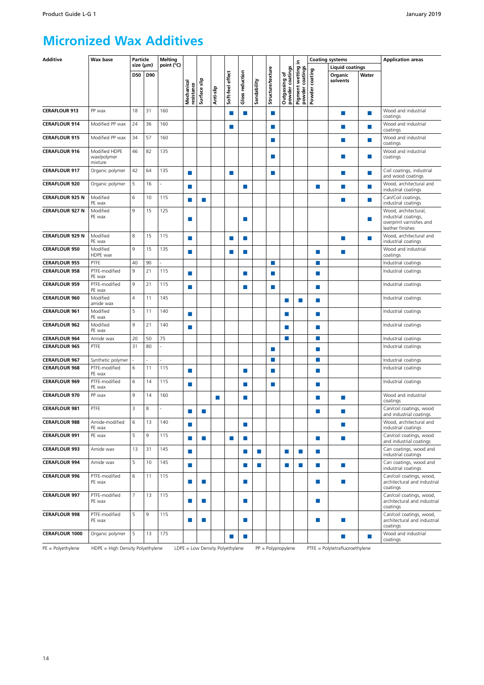### **Micronized Wax Additives**

| <b>Additive</b>        | Wax base                                | <b>Particle</b> |     | <b>Melting</b> |                                 |                             |           |                  |                 |                  |                   |                                  | ء.                                 |                             | <b>Coating systems</b>         |               | <b>Application areas</b>                                                                    |
|------------------------|-----------------------------------------|-----------------|-----|----------------|---------------------------------|-----------------------------|-----------|------------------|-----------------|------------------|-------------------|----------------------------------|------------------------------------|-----------------------------|--------------------------------|---------------|---------------------------------------------------------------------------------------------|
|                        |                                         | size (µm)       |     | point (°C)     |                                 |                             |           |                  |                 |                  |                   |                                  |                                    |                             | <b>Liquid coatings</b>         |               |                                                                                             |
|                        |                                         | D50             | D90 |                |                                 |                             |           |                  |                 |                  |                   |                                  |                                    | coating                     | Organic<br>solvents            | Water         |                                                                                             |
|                        |                                         |                 |     |                |                                 |                             |           |                  |                 |                  |                   |                                  |                                    |                             |                                |               |                                                                                             |
|                        |                                         |                 |     |                | Mechanical<br>resistance        | Surface slip                | Anti-slip | Soft-feel effect | Gloss reduction | Sandability      | Structure/texture | Outgassing of<br>powder coatings | Pigment wetting<br>powder coatings | Powder                      |                                |               |                                                                                             |
| <b>CERAFLOUR 913</b>   | PP wax                                  | 18              | 31  | 160            |                                 |                             |           | F.               | m,              |                  | П                 |                                  |                                    |                             | ×                              | $\mathcal{C}$ | Wood and industrial<br>coatings                                                             |
| <b>CERAFLOUR 914</b>   | Modified PP wax                         | 24              | 36  | 160            |                                 |                             |           | F.               |                 |                  | П                 |                                  |                                    |                             | <b>The State</b>               | $\mathcal{C}$ | Wood and industrial<br>coatings                                                             |
| <b>CERAFLOUR 915</b>   | Modified PP wax                         | 34              | 57  | 160            |                                 |                             |           |                  |                 |                  | H                 |                                  |                                    |                             | F.                             | $\mathcal{C}$ | Wood and industrial<br>coatings                                                             |
| <b>CERAFLOUR 916</b>   | Modified HDPE<br>wax/polymer<br>mixture | 46              | 82  | 135            |                                 |                             |           |                  |                 |                  | П                 |                                  |                                    |                             | <b>In</b>                      | $\mathcal{C}$ | Wood and industrial<br>coatings                                                             |
| <b>CERAFLOUR 917</b>   | Organic polymer                         | 42              | 64  | 135            | П                               |                             |           | m.               |                 |                  | п                 |                                  |                                    |                             | m.                             | P.            | Coil coatings, industrial<br>and wood coatings                                              |
| <b>CERAFLOUR 920</b>   | Organic polymer                         | 5               | 16  |                | П                               |                             |           |                  | <b>COL</b>      |                  |                   |                                  |                                    | П                           | <b>In</b>                      | ×             | Wood, architectural and<br>industrial coatings                                              |
| <b>CERAFLOUR 925 N</b> | Modified<br>PE wax                      | 6               | 10  | 115            | П                               | $\mathcal{L}_{\mathcal{A}}$ |           |                  |                 |                  |                   |                                  |                                    |                             | п                              | ×             | Can/Coil coatings,<br>industrial coatings                                                   |
| <b>CERAFLOUR 927 N</b> | Modified<br>PE wax                      | 9               | 15  | 125            | П                               |                             |           |                  | ш               |                  |                   |                                  |                                    |                             |                                | $\mathcal{C}$ | Wood, architectural,<br>industrial coatings,<br>overprint varnishes and<br>leather finishes |
| <b>CERAFLOUR 929 N</b> | Modified<br>PE wax                      | 8               | 15  | 115            | п                               |                             |           | П                | П               |                  |                   |                                  |                                    |                             | <b>In</b>                      | $\mathcal{C}$ | Wood, architectural and<br>industrial coatings                                              |
| <b>CERAFLOUR 950</b>   | Modified<br>HDPE wax                    | $\overline{9}$  | 15  | 135            | п                               |                             |           | П                | П               |                  |                   |                                  |                                    | m.                          | <b>The State</b>               |               | Wood and industrial<br>coatings                                                             |
| <b>CERAFLOUR 955</b>   | PTFE                                    | 40              | 90  |                |                                 |                             |           |                  |                 |                  | П                 |                                  |                                    | H.                          |                                |               | Industrial coatings                                                                         |
| <b>CERAFLOUR 958</b>   | PTFE-modified<br>PE wax                 | $\overline{9}$  | 21  | 115            | П                               |                             |           |                  | ш               |                  | П                 |                                  |                                    | P.                          |                                |               | Industrial coatings                                                                         |
| <b>CERAFLOUR 959</b>   | PTFE-modified<br>PE wax                 | 9               | 21  | 115            |                                 |                             |           |                  | <b>COL</b>      |                  | $\Box$            |                                  |                                    | H.                          |                                |               | Industrial coatings                                                                         |
| <b>CERAFLOUR 960</b>   | Modified<br>amide wax                   | $\overline{4}$  | 11  | 145            |                                 |                             |           |                  |                 |                  |                   |                                  | <b>COL</b>                         | m.                          |                                |               | Industrial coatings                                                                         |
| <b>CERAFLOUR 961</b>   | Modified<br>PE wax                      | 5               | 11  | 140            | ▄                               |                             |           |                  |                 |                  |                   | ш                                |                                    | П                           |                                |               | Industrial coatings                                                                         |
| <b>CERAFLOUR 962</b>   | Modified<br>PE wax                      | $\overline{9}$  | 21  | 140            | m.                              |                             |           |                  |                 |                  |                   | П                                |                                    | <b>The</b>                  |                                |               | Industrial coatings                                                                         |
| <b>CERAFLOUR 964</b>   | Amide wax                               | 20              | 50  | 75             |                                 |                             |           |                  |                 |                  |                   |                                  |                                    | $\mathcal{C}$               |                                |               | Industrial coatings                                                                         |
| <b>CERAFLOUR 965</b>   | PTFE                                    | 31              | 80  | ÷,             |                                 |                             |           |                  |                 |                  | П                 |                                  |                                    | m.                          |                                |               | Industrial coatings                                                                         |
| <b>CERAFLOUR 967</b>   | Synthetic polymer                       | ÷,              |     |                |                                 |                             |           |                  |                 |                  | П                 |                                  |                                    | m.                          |                                |               | Industrial coatings                                                                         |
| <b>CERAFLOUR 968</b>   | PTFE-modified<br>PE wax                 | 6               | 11  | 115            | п                               |                             |           |                  | ш               |                  | П                 |                                  |                                    | m.                          |                                |               | Industrial coatings                                                                         |
| <b>CERAFLOUR 969</b>   | PTFE-modified<br>PE wax                 | 6               | 14  | 115            |                                 |                             |           |                  | <b>COL</b>      |                  | u                 |                                  |                                    | П                           |                                |               | Industrial coatings                                                                         |
| <b>CERAFLOUR 970</b>   | PP wax                                  | $\overline{9}$  | 14  | 160            |                                 |                             | п         |                  | ш               |                  |                   |                                  |                                    | П                           | п                              |               | Wood and industrial<br>coatings                                                             |
| <b>CERAFLOUR 981</b>   | PTFE                                    | $\overline{3}$  | 8   |                |                                 | $\Box$                      |           |                  |                 |                  |                   |                                  |                                    |                             | П                              |               | Can/coil coatings, wood<br>and industrial coatings                                          |
| <b>CERAFLOUR 988</b>   | Amide-modified<br>PE wax                | 6               | 13  | 140            | П                               |                             |           |                  | $\Box$          |                  |                   |                                  |                                    |                             | <b>In</b>                      |               | Wood, architectural and<br>industrial coatings                                              |
| <b>CERAFLOUR 991</b>   | PE wax                                  | 5               | 9   | 115            |                                 | <b>In</b>                   |           | ш                | m.              |                  |                   |                                  |                                    | m.                          | ×                              |               | Can/coil coatings, wood<br>and industrial coatings                                          |
| <b>CERAFLOUR 993</b>   | Amide wax                               | 13              | 31  | 145            | П                               |                             |           |                  | m.              | <b>The State</b> |                   | P.                               | m,                                 | <b>The</b>                  |                                |               | Can coatings, wood and<br>industrial coatings                                               |
| <b>CERAFLOUR 994</b>   | Amide wax                               | 5               | 10  | 145            | П                               |                             |           |                  | <b>In the </b>  | ×                |                   | <b>College</b>                   | ×                                  | ×                           | m.                             |               | Can coatings, wood and<br>industrial coatings                                               |
| <b>CERAFLOUR 996</b>   | PTFE-modified<br>PE wax                 | 6               | 11  | 115            | п                               | $\Box$                      |           |                  | m.              |                  |                   |                                  |                                    | $\mathcal{C}^{\mathcal{A}}$ | ×                              |               | Can/coil coatings, wood,<br>architectural and industrial<br>coatings                        |
| <b>CERAFLOUR 997</b>   | PTFE-modified<br>PE wax                 | $\overline{7}$  | 13  | 115            | П                               | <u>ra</u>                   |           |                  | $\Box$          |                  |                   |                                  |                                    | <b>The</b>                  |                                |               | Can/coil coatings, wood,<br>architectural and industrial<br>coatings                        |
| <b>CERAFLOUR 998</b>   | PTFE-modified<br>PE wax                 | 5               | 9   | 115            |                                 | $\Box$                      |           |                  | P.              |                  |                   |                                  |                                    | F.                          | m.                             |               | Can/coil coatings, wood,<br>architectural and industrial<br>coatings                        |
| <b>CERAFLOUR 1000</b>  | Organic polymer                         | 5               | 13  | 175            |                                 |                             |           | H.               | <b>College</b>  |                  |                   |                                  |                                    |                             | $\mathcal{L}_{\mathcal{A}}$    | H.            | Wood and industrial<br>coatings                                                             |
| $PE = Polyethylene$    | HDPE = High Density Polyethylene        |                 |     |                | LDPE = Low Density Polyethylene |                             |           |                  |                 |                  |                   | $PP = Polypropylene$             |                                    |                             | PTFE = Polytetrafluoroethylene |               |                                                                                             |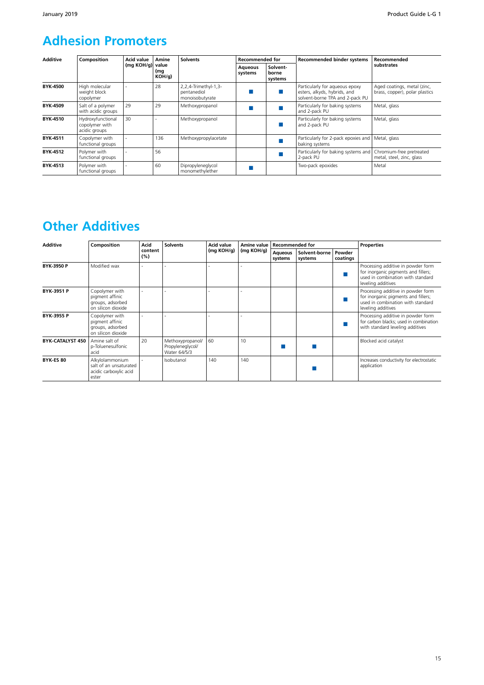### **Adhesion Promoters**

| <b>Additive</b> | Composition                                          | <b>Acid value</b> | Amine                  | <b>Solvents</b>                                        | <b>Recommended for</b> |                              | <b>Recommended binder systems</b>                                                                 | Recommended                                                   |
|-----------------|------------------------------------------------------|-------------------|------------------------|--------------------------------------------------------|------------------------|------------------------------|---------------------------------------------------------------------------------------------------|---------------------------------------------------------------|
|                 |                                                      | (mq KOH/q)        | value<br>(mg<br>KOH/q) |                                                        | Aqueous<br>systems     | Solvent-<br>borne<br>systems |                                                                                                   | substrates                                                    |
| <b>BYK-4500</b> | High molecular<br>weight block<br>copolymer          |                   | 28                     | 2,2,4-Trimethyl-1,3-<br>pentanediol<br>monoisobutyrate |                        |                              | Particularly for aqueous epoxy<br>esters, alkyds, hybrids, and<br>solvent-borne TPA and 2-pack PU | Aged coatings, metal (zinc,<br>brass, copper), polar plastics |
| BYK-4509        | Salt of a polymer<br>with acidic groups              | 29                | 29                     | Methoxypropanol                                        |                        |                              | Particularly for baking systems<br>and 2-pack PU                                                  | Metal, glass                                                  |
| BYK-4510        | Hydroxyfunctional<br>copolymer with<br>acidic groups | 30                |                        | Methoxypropanol                                        |                        |                              | Particularly for baking systems<br>and 2-pack PU                                                  | Metal, glass                                                  |
| BYK-4511        | Copolymer with<br>functional groups                  |                   | 136                    | Methoxypropylacetate                                   |                        |                              | Particularly for 2-pack epoxies and   Metal, glass<br>baking systems                              |                                                               |
| BYK-4512        | Polymer with<br>functional groups                    |                   | 56                     |                                                        |                        |                              | Particularly for baking systems and Chromium-free pretreated<br>2-pack PU                         | metal, steel, zinc, glass                                     |
| BYK-4513        | Polymer with<br>functional groups                    |                   | 60                     | Dipropyleneglycol<br>monomethylether                   |                        |                              | Two-pack epoxides                                                                                 | Metal                                                         |

### **Other Additives**

| <b>Additive</b>   | Composition                                                                  | Acid           | <b>Solvents</b>                                      | Acid value | Amine value | Recommended for           |                          |                    | <b>Properties</b>                                                                                                                    |
|-------------------|------------------------------------------------------------------------------|----------------|------------------------------------------------------|------------|-------------|---------------------------|--------------------------|--------------------|--------------------------------------------------------------------------------------------------------------------------------------|
|                   |                                                                              | content<br>(%) |                                                      | (mg KOH/g) | (mg KOH/g)  | <b>Aqueous</b><br>systems | Solvent-borne<br>systems | Powder<br>coatings |                                                                                                                                      |
| BYK-3950 P        | Modified wax                                                                 |                |                                                      |            |             |                           |                          |                    | Processing additive in powder form<br>for inorganic pigments and fillers;<br>used in combination with standard<br>leveling additives |
| <b>BYK-3951 P</b> | Copolymer with<br>pigment affinic<br>groups, adsorbed<br>on silicon dioxide  |                |                                                      |            |             |                           |                          |                    | Processing additive in powder form<br>for inorganic pigments and fillers;<br>used in combination with standard<br>leveling additives |
| <b>BYK-3955 P</b> | Copolymer with<br>pigment affinic<br>groups, adsorbed<br>on silicon dioxide  |                |                                                      |            |             |                           |                          |                    | Processing additive in powder form<br>for carbon blacks; used in combination<br>with standard leveling additives                     |
| BYK-CATALYST 450  | Amine salt of<br>p-Toluenesulfonic<br>acid                                   | 20             | Methoxypropanol/<br>Propyleneglycol/<br>Water 64/5/3 | 60         | 10          |                           |                          |                    | Blocked acid catalyst                                                                                                                |
| BYK-ES 80         | Alkylolammonium<br>salt of an unsaturated<br>acidic carboxylic acid<br>ester |                | Isobutanol                                           | 140        | 140         |                           |                          |                    | Increases conductivity for electrostatic<br>application                                                                              |